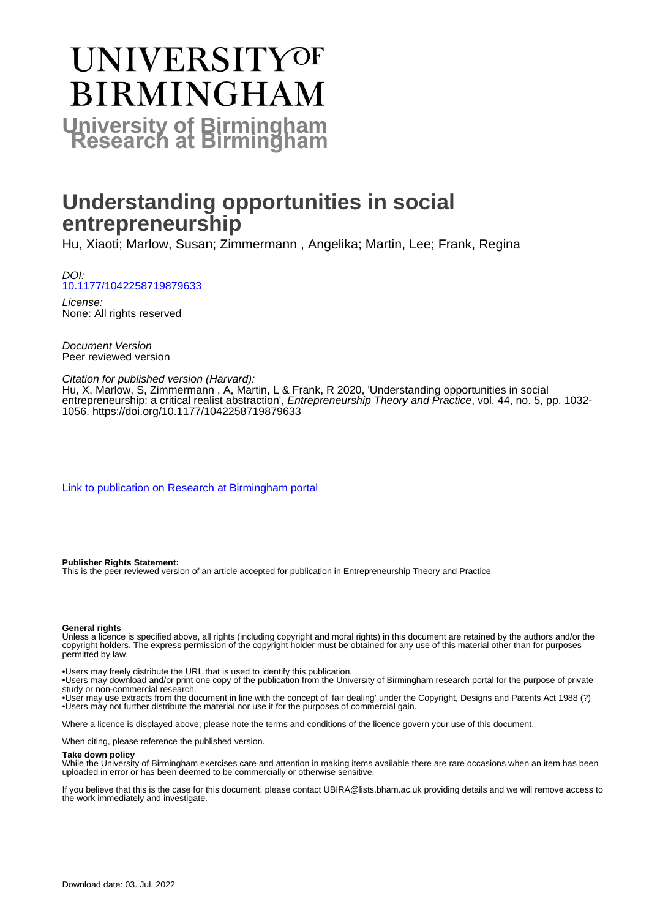# UNIVERSITYOF **BIRMINGHAM University of Birmingham**

# **Understanding opportunities in social entrepreneurship**

Hu, Xiaoti; Marlow, Susan; Zimmermann , Angelika; Martin, Lee; Frank, Regina

DOI: [10.1177/1042258719879633](https://doi.org/10.1177/1042258719879633)

License: None: All rights reserved

Document Version Peer reviewed version

#### Citation for published version (Harvard):

Hu, X, Marlow, S, Zimmermann , A, Martin, L & Frank, R 2020, 'Understanding opportunities in social entrepreneurship: a critical realist abstraction', *Entrepreneurship Theory and Practice*, vol. 44, no. 5, pp. 1032-1056. <https://doi.org/10.1177/1042258719879633>

[Link to publication on Research at Birmingham portal](https://birmingham.elsevierpure.com/en/publications/97e53731-46ce-4c8b-acb1-940b4cab65f2)

#### **Publisher Rights Statement:**

This is the peer reviewed version of an article accepted for publication in Entrepreneurship Theory and Practice

#### **General rights**

Unless a licence is specified above, all rights (including copyright and moral rights) in this document are retained by the authors and/or the copyright holders. The express permission of the copyright holder must be obtained for any use of this material other than for purposes permitted by law.

• Users may freely distribute the URL that is used to identify this publication.

• Users may download and/or print one copy of the publication from the University of Birmingham research portal for the purpose of private study or non-commercial research.

• User may use extracts from the document in line with the concept of 'fair dealing' under the Copyright, Designs and Patents Act 1988 (?) • Users may not further distribute the material nor use it for the purposes of commercial gain.

Where a licence is displayed above, please note the terms and conditions of the licence govern your use of this document.

When citing, please reference the published version.

#### **Take down policy**

While the University of Birmingham exercises care and attention in making items available there are rare occasions when an item has been uploaded in error or has been deemed to be commercially or otherwise sensitive.

If you believe that this is the case for this document, please contact UBIRA@lists.bham.ac.uk providing details and we will remove access to the work immediately and investigate.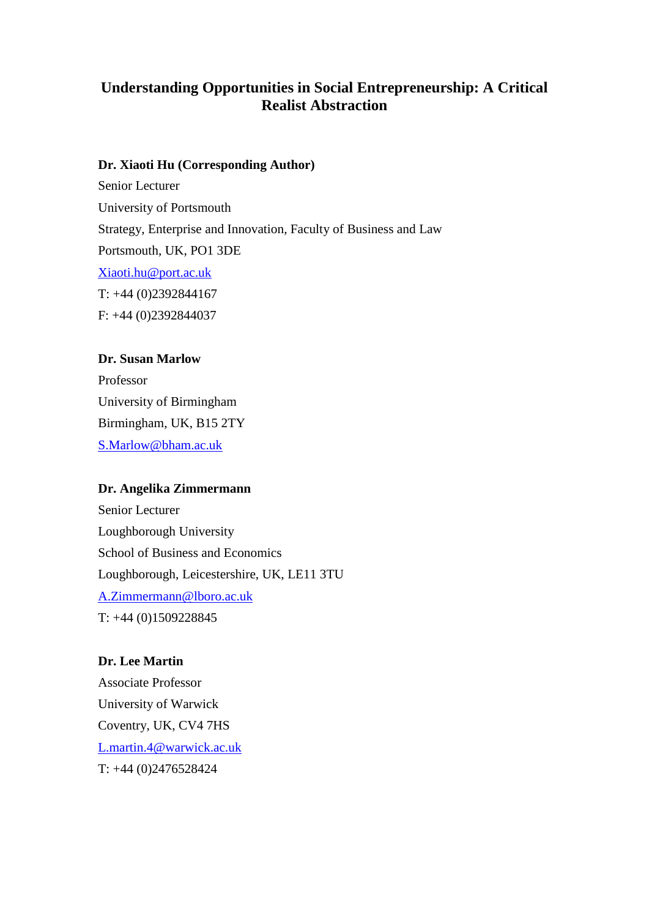## **Understanding Opportunities in Social Entrepreneurship: A Critical Realist Abstraction**

#### **Dr. Xiaoti Hu (Corresponding Author)**

Senior Lecturer University of Portsmouth Strategy, Enterprise and Innovation, Faculty of Business and Law Portsmouth, UK, PO1 3DE [Xiaoti.hu@port.ac.uk](mailto:Xiaoti.hu@port.ac.uk) T: +44 (0)2392844167 F: +44 (0)2392844037

#### **Dr. Susan Marlow**

Professor University of Birmingham Birmingham, UK, B15 2TY [S.Marlow@bham.ac.uk](mailto:S.Marlow@bham.ac.uk)

#### **Dr. Angelika Zimmermann**

Senior Lecturer Loughborough University School of Business and Economics Loughborough, Leicestershire, UK, LE11 3TU [A.Zimmermann@lboro.ac.uk](mailto:A.Zimmermann@lboro.ac.uk) T: +44 (0)1509228845

#### **Dr. Lee Martin**

Associate Professor University of Warwick Coventry, UK, CV4 7HS [L.martin.4@warwick.ac.uk](mailto:L.martin.4@warwick.ac.uk) T: +44 (0)2476528424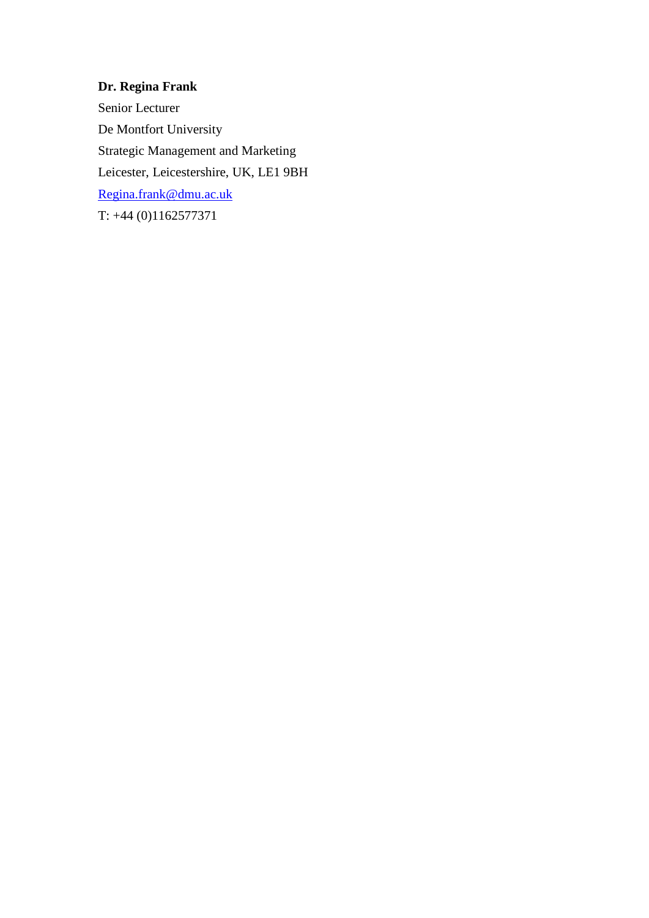### **Dr. Regina Frank**

Senior Lecturer De Montfort University Strategic Management and Marketing Leicester, Leicestershire, UK, LE1 9BH [Regina.frank@dmu.ac.uk](mailto:Regina.frank@dmu.ac.uk)  T: +44 (0)1162577371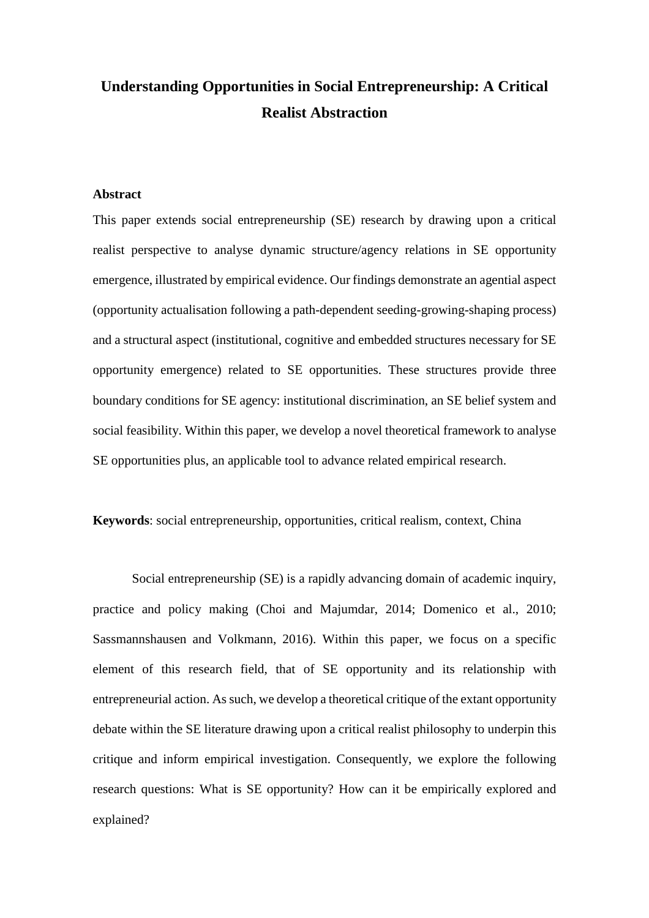# **Understanding Opportunities in Social Entrepreneurship: A Critical Realist Abstraction**

#### **Abstract**

This paper extends social entrepreneurship (SE) research by drawing upon a critical realist perspective to analyse dynamic structure/agency relations in SE opportunity emergence, illustrated by empirical evidence. Our findings demonstrate an agential aspect (opportunity actualisation following a path-dependent seeding-growing-shaping process) and a structural aspect (institutional, cognitive and embedded structures necessary for SE opportunity emergence) related to SE opportunities. These structures provide three boundary conditions for SE agency: institutional discrimination, an SE belief system and social feasibility. Within this paper, we develop a novel theoretical framework to analyse SE opportunities plus, an applicable tool to advance related empirical research.

**Keywords**: social entrepreneurship, opportunities, critical realism, context, China

Social entrepreneurship (SE) is a rapidly advancing domain of academic inquiry, practice and policy making (Choi and [Majumdar,](#page-39-0) 2014; [Domenico](#page-39-1) et al., 2010; [Sassmannshausen](#page-42-0) and Volkmann, 2016). Within this paper, we focus on a specific element of this research field, that of SE opportunity and its relationship with entrepreneurial action. Assuch, we develop a theoretical critique of the extant opportunity debate within the SE literature drawing upon a critical realist philosophy to underpin this critique and inform empirical investigation. Consequently, we explore the following research questions: What is SE opportunity? How can it be empirically explored and explained?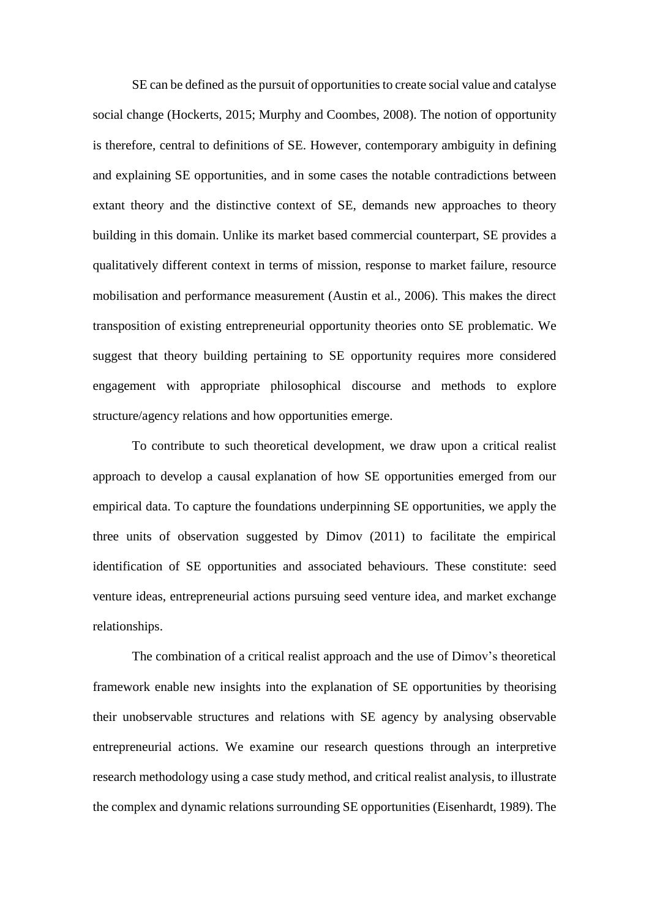SE can be defined asthe pursuit of opportunities to create social value and catalyse social change [\(Hockerts,](#page-40-0) 2015; Murphy and [Coombes,](#page-41-0) 2008). The notion of opportunity is therefore, central to definitions of SE. However, contemporary ambiguity in defining and explaining SE opportunities, and in some cases the notable contradictions between extant theory and the distinctive context of SE, demands new approaches to theory building in this domain. Unlike its market based commercial counterpart, SE provides a qualitatively different context in terms of mission, response to market failure, resource mobilisation and performance measurement [\(Austin](#page-38-0) et al., 2006). This makes the direct transposition of existing entrepreneurial opportunity theories onto SE problematic. We suggest that theory building pertaining to SE opportunity requires more considered engagement with appropriate philosophical discourse and methods to explore structure/agency relations and how opportunities emerge.

To contribute to such theoretical development, we draw upon a critical realist approach to develop a causal explanation of how SE opportunities emerged from our empirical data. To capture the foundations underpinning SE opportunities, we apply the three units of observation suggested by [Dimov](#page-39-2) (2011) to facilitate the empirical identification of SE opportunities and associated behaviours. These constitute: seed venture ideas, entrepreneurial actions pursuing seed venture idea, and market exchange relationships.

The combination of a critical realist approach and the use of Dimov's theoretical framework enable new insights into the explanation of SE opportunities by theorising their unobservable structures and relations with SE agency by analysing observable entrepreneurial actions. We examine our research questions through an interpretive research methodology using a case study method, and critical realist analysis, to illustrate the complex and dynamic relations surrounding SE opportunities [\(Eisenhardt,](#page-40-1) 1989). The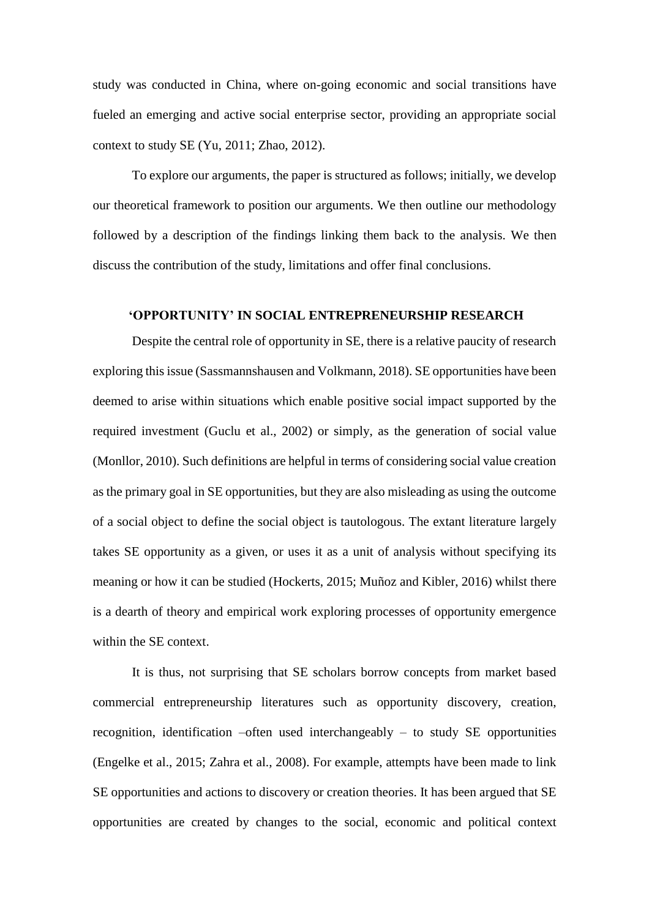study was conducted in China, where on-going economic and social transitions have fueled an emerging and active social enterprise sector, providing an appropriate social context to study SE (Yu, [2011;](#page-42-1) [Zhao,](#page-42-2) 2012).

To explore our arguments, the paper is structured as follows; initially, we develop our theoretical framework to position our arguments. We then outline our methodology followed by a description of the findings linking them back to the analysis. We then discuss the contribution of the study, limitations and offer final conclusions.

#### **'OPPORTUNITY' IN SOCIAL ENTREPRENEURSHIP RESEARCH**

Despite the central role of opportunity in SE, there is a relative paucity of research exploring this issue [\(Sassmannshausen](#page-42-3) and Volkmann, 2018). SE opportunities have been deemed to arise within situations which enable positive social impact supported by the required investment [\(Guclu](#page-40-2) et al., 2002) or simply, as the generation of social value [\(Monllor,](#page-41-1) 2010). Such definitions are helpful in terms of considering social value creation as the primary goal in SE opportunities, but they are also misleading as using the outcome of a social object to define the social object is tautologous. The extant literature largely takes SE opportunity as a given, or uses it as a unit of analysis without specifying its meaning or how it can be studied [\(Hockerts,](#page-40-0) 2015; [Muñoz](#page-41-2) and Kibler, 2016) whilst there is a dearth of theory and empirical work exploring processes of opportunity emergence within the SE context.

It is thus, not surprising that SE scholars borrow concepts from market based commercial entrepreneurship literatures such as opportunity discovery, creation, recognition, identification –often used interchangeably – to study SE opportunities [\(Engelke](#page-40-3) et al., 2015; [Zahra](#page-42-4) et al., 2008). For example, attempts have been made to link SE opportunities and actions to discovery or creation theories. It has been argued that SE opportunities are created by changes to the social, economic and political context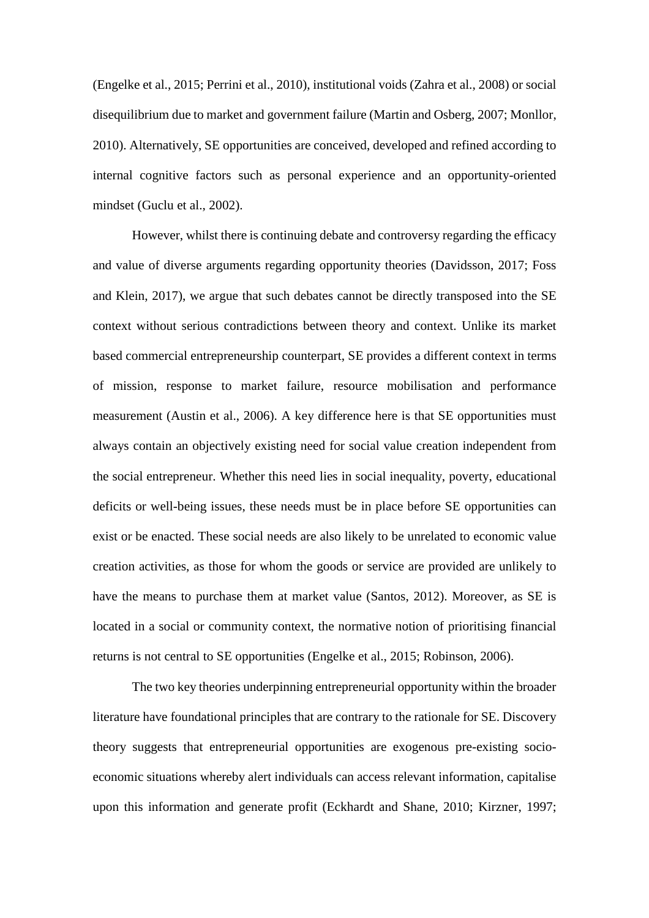[\(Engelke](#page-40-3) et al., 2015; [Perrini](#page-41-3) et al., 2010), institutional voids [\(Zahra](#page-42-4) et al., 2008) or social disequilibrium due to market and government failure (Martin and [Osberg,](#page-41-4) 2007; [Monllor,](#page-41-1) [2010\)](#page-41-1). Alternatively, SE opportunities are conceived, developed and refined according to internal cognitive factors such as personal experience and an opportunity-oriented mindset [\(Guclu](#page-40-2) et al., 2002).

However, whilst there is continuing debate and controversy regarding the efficacy and value of diverse arguments regarding opportunity theories [\(Davidsson,](#page-39-3) 2017; [Foss](#page-40-4) and [Klein,](#page-40-4) 2017), we argue that such debates cannot be directly transposed into the SE context without serious contradictions between theory and context. Unlike its market based commercial entrepreneurship counterpart, SE provides a different context in terms of mission, response to market failure, resource mobilisation and performance measurement [\(Austin](#page-38-0) et al., 2006). A key difference here is that SE opportunities must always contain an objectively existing need for social value creation independent from the social entrepreneur. Whether this need lies in social inequality, poverty, educational deficits or well-being issues, these needs must be in place before SE opportunities can exist or be enacted. These social needs are also likely to be unrelated to economic value creation activities, as those for whom the goods or service are provided are unlikely to have the means to purchase them at market value [\(Santos,](#page-41-5) 2012). Moreover, as SE is located in a social or community context, the normative notion of prioritising financial returns is not central to SE opportunities [\(Engelke](#page-40-3) et al., 2015; [Robinson,](#page-41-6) 2006).

The two key theories underpinning entrepreneurial opportunity within the broader literature have foundational principles that are contrary to the rationale for SE. Discovery theory suggests that entrepreneurial opportunities are exogenous pre-existing socioeconomic situations whereby alert individuals can access relevant information, capitalise upon this information and generate profit [\(Eckhardt](#page-40-5) and Shane, 2010; [Kirzner,](#page-40-6) 1997;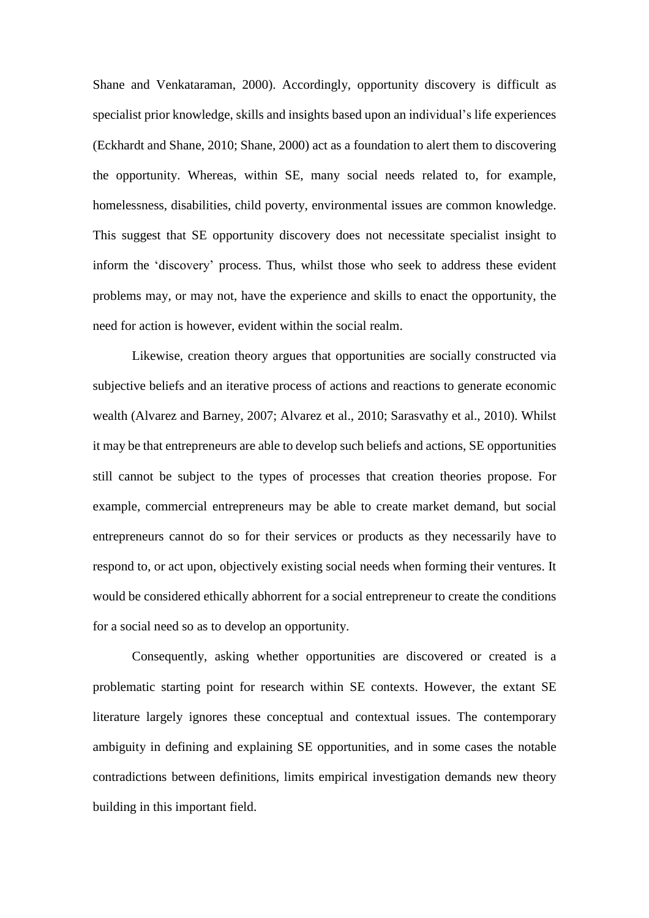Shane and [Venkataraman,](#page-42-5) 2000). Accordingly, opportunity discovery is difficult as specialist prior knowledge, skills and insights based upon an individual's life experiences [\(Eckhardt](#page-40-5) and Shane, 2010; [Shane,](#page-42-6) 2000) act as a foundation to alert them to discovering the opportunity. Whereas, within SE, many social needs related to, for example, homelessness, disabilities, child poverty, environmental issues are common knowledge. This suggest that SE opportunity discovery does not necessitate specialist insight to inform the 'discovery' process. Thus, whilst those who seek to address these evident problems may, or may not, have the experience and skills to enact the opportunity, the need for action is however, evident within the social realm.

Likewise, creation theory argues that opportunities are socially constructed via subjective beliefs and an iterative process of actions and reactions to generate economic wealth [\(Alvarez](#page-38-1) and Barney, 2007; [Alvarez](#page-38-2) et al., 2010; [Sarasvathy](#page-42-7) et al., 2010). Whilst it may be that entrepreneurs are able to develop such beliefs and actions, SE opportunities still cannot be subject to the types of processes that creation theories propose. For example, commercial entrepreneurs may be able to create market demand, but social entrepreneurs cannot do so for their services or products as they necessarily have to respond to, or act upon, objectively existing social needs when forming their ventures. It would be considered ethically abhorrent for a social entrepreneur to create the conditions for a social need so as to develop an opportunity.

Consequently, asking whether opportunities are discovered or created is a problematic starting point for research within SE contexts. However, the extant SE literature largely ignores these conceptual and contextual issues. The contemporary ambiguity in defining and explaining SE opportunities, and in some cases the notable contradictions between definitions, limits empirical investigation demands new theory building in this important field.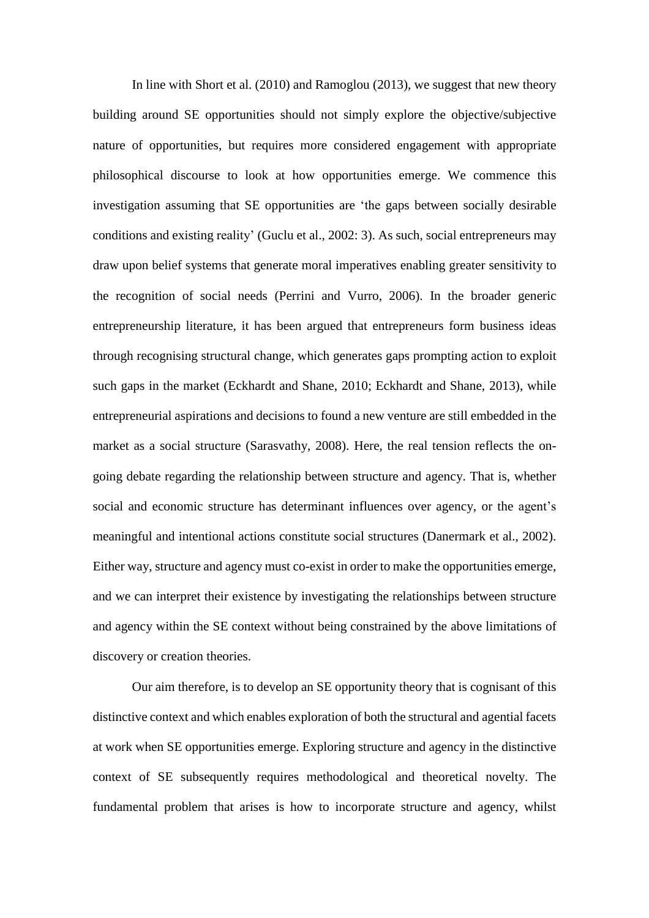In line with Short et al. [\(2010\)](#page-42-8) and [Ramoglou](#page-41-7) (2013), we suggest that new theory building around SE opportunities should not simply explore the objective/subjective nature of opportunities, but requires more considered engagement with appropriate philosophical discourse to look at how opportunities emerge. We commence this investigation assuming that SE opportunities are 'the gaps between socially desirable conditions and existing reality' [\(Guclu](#page-40-2) et al., 2002: 3). As such, social entrepreneurs may draw upon belief systems that generate moral imperatives enabling greater sensitivity to the recognition of social needs [\(Perrini](#page-41-8) and Vurro, 2006). In the broader generic entrepreneurship literature, it has been argued that entrepreneurs form business ideas through recognising structural change, which generates gaps prompting action to exploit such gaps in the market [\(Eckhardt](#page-40-5) and Shane, 2010; [Eckhardt](#page-40-7) and Shane, 2013), while entrepreneurial aspirations and decisions to found a new venture are still embedded in the market as a social structure [\(Sarasvathy,](#page-42-9) 2008). Here, the real tension reflects the ongoing debate regarding the relationship between structure and agency. That is, whether social and economic structure has determinant influences over agency, or the agent's meaningful and intentional actions constitute social structures [\(Danermark](#page-39-4) et al., 2002). Either way, structure and agency must co-exist in order to make the opportunities emerge, and we can interpret their existence by investigating the relationships between structure and agency within the SE context without being constrained by the above limitations of discovery or creation theories.

Our aim therefore, is to develop an SE opportunity theory that is cognisant of this distinctive context and which enables exploration of both the structural and agential facets at work when SE opportunities emerge. Exploring structure and agency in the distinctive context of SE subsequently requires methodological and theoretical novelty. The fundamental problem that arises is how to incorporate structure and agency, whilst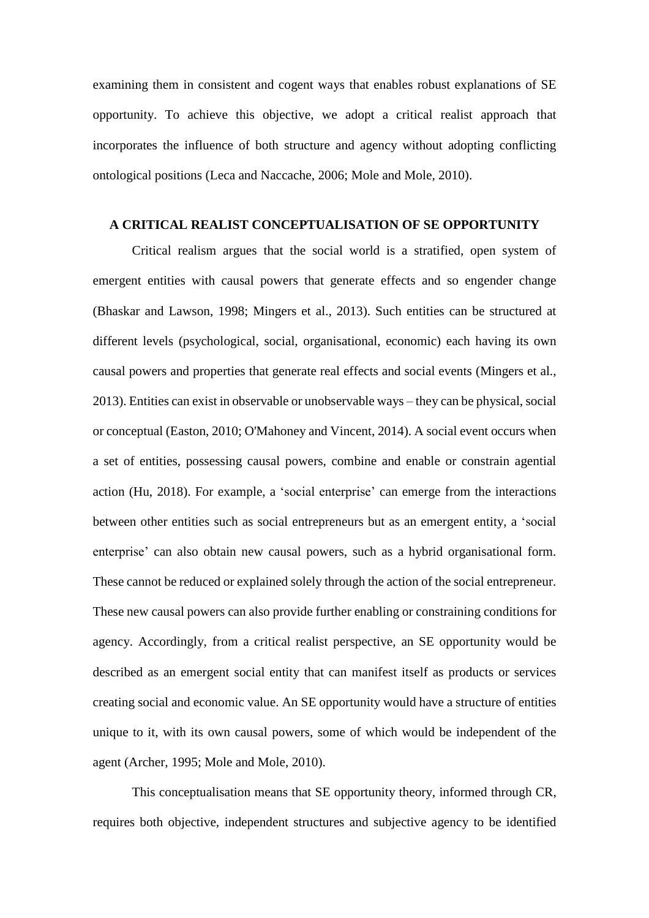examining them in consistent and cogent ways that enables robust explanations of SE opportunity. To achieve this objective, we adopt a critical realist approach that incorporates the influence of both structure and agency without adopting conflicting ontological positions (Leca and [Naccache,](#page-40-8) 2006; Mole and [Mole,](#page-41-9) 2010).

#### **A CRITICAL REALIST CONCEPTUALISATION OF SE OPPORTUNITY**

Critical realism argues that the social world is a stratified, open system of emergent entities with causal powers that generate effects and so engender change [\(Bhaskar](#page-39-5) and Lawson, 1998; [Mingers](#page-41-10) et al., 2013). Such entities can be structured at different levels (psychological, social, organisational, economic) each having its own causal powers and properties that generate real effects and social events [\(Mingers](#page-41-10) et al., [2013\)](#page-41-10). Entities can exist in observable or unobservable ways – they can be physical, social or conceptual [\(Easton,](#page-39-6) 2010; [O'Mahoney](#page-41-11) and Vincent, 2014). A social event occurs when a set of entities, possessing causal powers, combine and enable or constrain agential action (Hu, [2018\)](#page-40-9). For example, a 'social enterprise' can emerge from the interactions between other entities such as social entrepreneurs but as an emergent entity, a 'social enterprise' can also obtain new causal powers, such as a hybrid organisational form. These cannot be reduced or explained solely through the action of the social entrepreneur. These new causal powers can also provide further enabling or constraining conditions for agency. Accordingly, from a critical realist perspective, an SE opportunity would be described as an emergent social entity that can manifest itself as products or services creating social and economic value. An SE opportunity would have a structure of entities unique to it, with its own causal powers, some of which would be independent of the agent [\(Archer,](#page-38-3) 1995; Mole and [Mole,](#page-41-9) 2010).

This conceptualisation means that SE opportunity theory, informed through CR, requires both objective, independent structures and subjective agency to be identified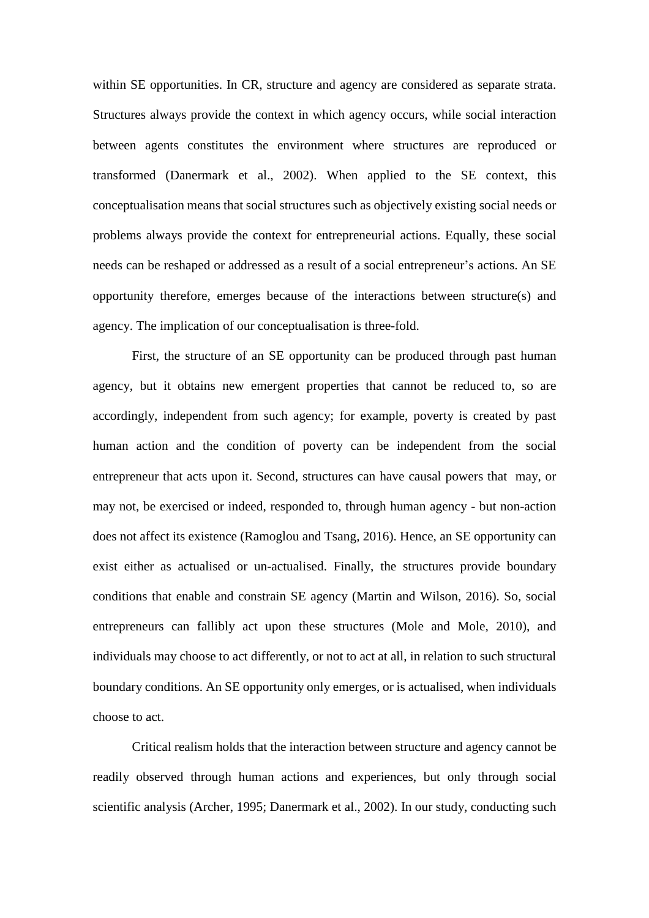within SE opportunities. In CR, structure and agency are considered as separate strata. Structures always provide the context in which agency occurs, while social interaction between agents constitutes the environment where structures are reproduced or transformed [\(Danermark](#page-39-4) et al., 2002). When applied to the SE context, this conceptualisation means that social structures such as objectively existing social needs or problems always provide the context for entrepreneurial actions. Equally, these social needs can be reshaped or addressed as a result of a social entrepreneur's actions. An SE opportunity therefore, emerges because of the interactions between structure(s) and agency. The implication of our conceptualisation is three-fold.

First, the structure of an SE opportunity can be produced through past human agency, but it obtains new emergent properties that cannot be reduced to, so are accordingly, independent from such agency; for example, poverty is created by past human action and the condition of poverty can be independent from the social entrepreneur that acts upon it. Second, structures can have causal powers that may, or may not, be exercised or indeed, responded to, through human agency - but non-action does not affect its existence [\(Ramoglou](#page-41-12) and Tsang, 2016). Hence, an SE opportunity can exist either as actualised or un-actualised. Finally, the structures provide boundary conditions that enable and constrain SE agency (Martin and [Wilson,](#page-41-13) 2016). So, social entrepreneurs can fallibly act upon these structures (Mole and [Mole,](#page-41-9) 2010), and individuals may choose to act differently, or not to act at all, in relation to such structural boundary conditions. An SE opportunity only emerges, or is actualised, when individuals choose to act.

Critical realism holds that the interaction between structure and agency cannot be readily observed through human actions and experiences, but only through social scientific analysis [\(Archer,](#page-38-3) 1995; [Danermark](#page-39-4) et al., 2002). In our study, conducting such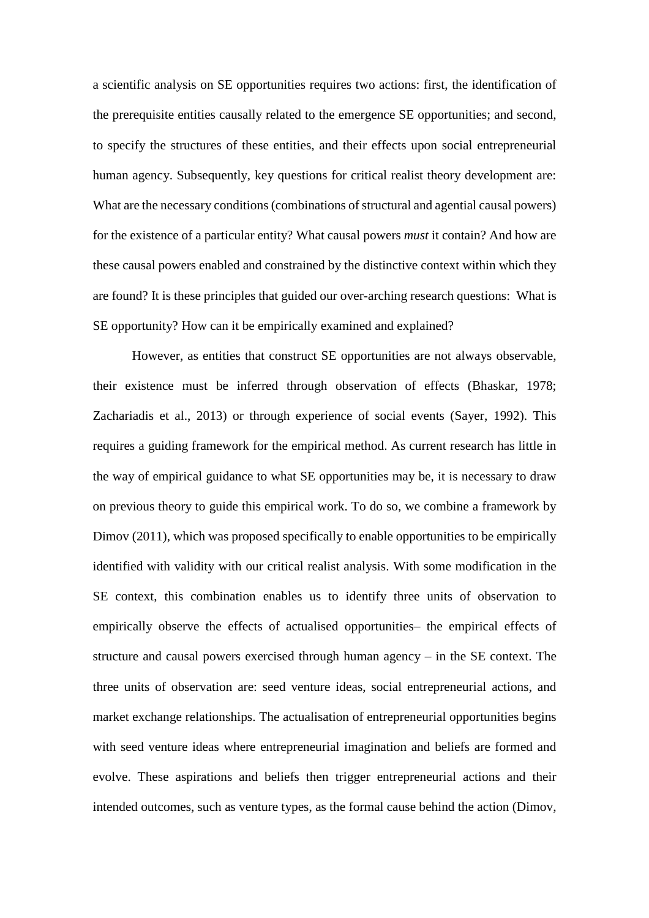a scientific analysis on SE opportunities requires two actions: first, the identification of the prerequisite entities causally related to the emergence SE opportunities; and second, to specify the structures of these entities, and their effects upon social entrepreneurial human agency. Subsequently, key questions for critical realist theory development are: What are the necessary conditions (combinations of structural and agential causal powers) for the existence of a particular entity? What causal powers *must* it contain? And how are these causal powers enabled and constrained by the distinctive context within which they are found? It is these principles that guided our over-arching research questions: What is SE opportunity? How can it be empirically examined and explained?

However, as entities that construct SE opportunities are not always observable, their existence must be inferred through observation of effects [\(Bhaskar,](#page-39-7) 1978; [Zachariadis](#page-42-10) et al., 2013) or through experience of social events [\(Sayer,](#page-42-11) 1992). This requires a guiding framework for the empirical method. As current research has little in the way of empirical guidance to what SE opportunities may be, it is necessary to draw on previous theory to guide this empirical work. To do so, we combine a framework by Dimov [\(2011\),](#page-39-2) which was proposed specifically to enable opportunities to be empirically identified with validity with our critical realist analysis. With some modification in the SE context, this combination enables us to identify three units of observation to empirically observe the effects of actualised opportunities– the empirical effects of structure and causal powers exercised through human agency – in the SE context. The three units of observation are: seed venture ideas, social entrepreneurial actions, and market exchange relationships. The actualisation of entrepreneurial opportunities begins with seed venture ideas where entrepreneurial imagination and beliefs are formed and evolve. These aspirations and beliefs then trigger entrepreneurial actions and their intended outcomes, such as venture types, as the formal cause behind the action [\(Dimov,](#page-39-2)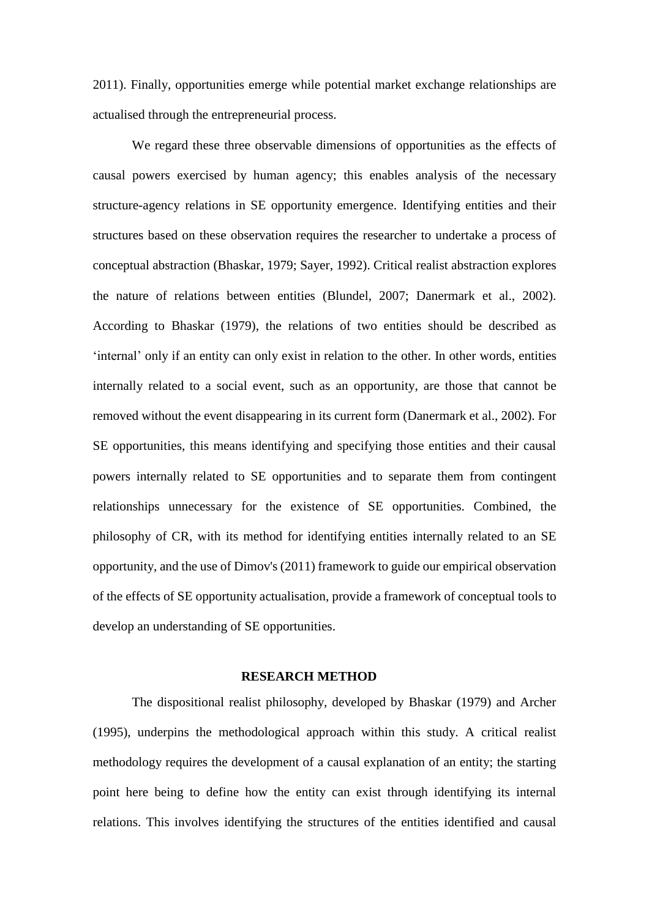[2011\)](#page-39-2). Finally, opportunities emerge while potential market exchange relationships are actualised through the entrepreneurial process.

We regard these three observable dimensions of opportunities as the effects of causal powers exercised by human agency; this enables analysis of the necessary structure-agency relations in SE opportunity emergence. Identifying entities and their structures based on these observation requires the researcher to undertake a process of conceptual abstraction [\(Bhaskar,](#page-39-8) 1979; [Sayer,](#page-42-11) 1992). Critical realist abstraction explores the nature of relations between entities [\(Blundel,](#page-39-9) 2007; [Danermark](#page-39-4) et al., 2002). According to [Bhaskar](#page-39-8) (1979), the relations of two entities should be described as 'internal' only if an entity can only exist in relation to the other. In other words, entities internally related to a social event, such as an opportunity, are those that cannot be removed without the event disappearing in its current form [\(Danermark](#page-39-4) et al., 2002). For SE opportunities, this means identifying and specifying those entities and their causal powers internally related to SE opportunities and to separate them from contingent relationships unnecessary for the existence of SE opportunities. Combined, the philosophy of CR, with its method for identifying entities internally related to an SE opportunity, and the use of Dimov's (2011) framework to guide our empirical observation of the effects of SE opportunity actualisation, provide a framework of conceptual tools to develop an understanding of SE opportunities.

#### **RESEARCH METHOD**

The dispositional realist philosophy, developed by [Bhaskar](#page-39-8) (1979) and [Archer](#page-38-3) (1995), underpins the methodological approach within this study. A critical realist methodology requires the development of a causal explanation of an entity; the starting point here being to define how the entity can exist through identifying its internal relations. This involves identifying the structures of the entities identified and causal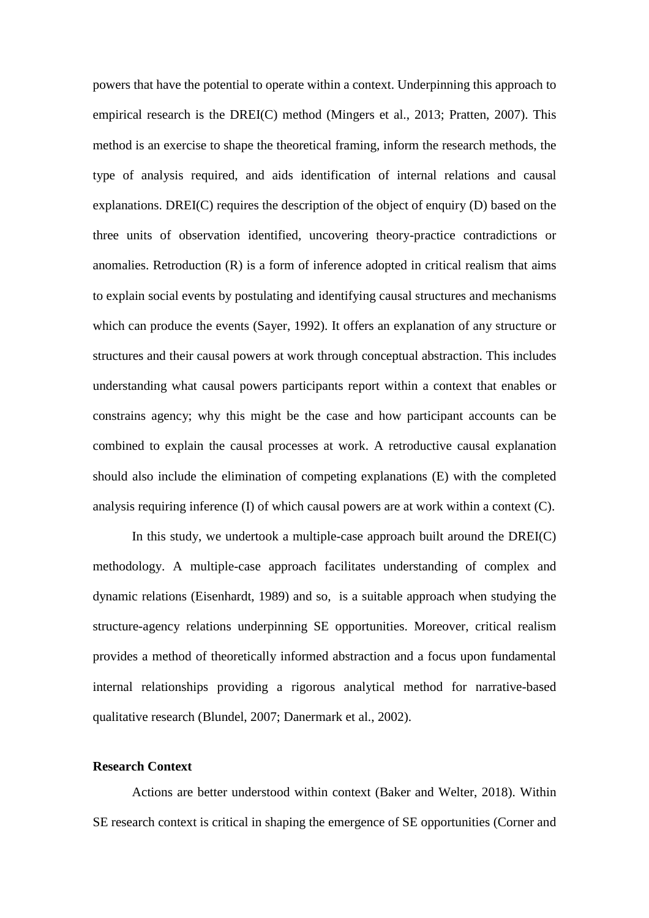powers that have the potential to operate within a context. Underpinning this approach to empirical research is the DREI(C) method [\(Mingers](#page-41-10) et al., 2013; [Pratten,](#page-41-14) 2007). This method is an exercise to shape the theoretical framing, inform the research methods, the type of analysis required, and aids identification of internal relations and causal explanations. DREI(C) requires the description of the object of enquiry (D) based on the three units of observation identified, uncovering theory-practice contradictions or anomalies. Retroduction (R) is a form of inference adopted in critical realism that aims to explain social events by postulating and identifying causal structures and mechanisms which can produce the events [\(Sayer,](#page-42-11) 1992). It offers an explanation of any structure or structures and their causal powers at work through conceptual abstraction. This includes understanding what causal powers participants report within a context that enables or constrains agency; why this might be the case and how participant accounts can be combined to explain the causal processes at work. A retroductive causal explanation should also include the elimination of competing explanations (E) with the completed analysis requiring inference (I) of which causal powers are at work within a context (C).

In this study, we undertook a multiple-case approach built around the  $DREI(C)$ methodology. A multiple-case approach facilitates understanding of complex and dynamic relations [\(Eisenhardt,](#page-40-1) 1989) and so, is a suitable approach when studying the structure-agency relations underpinning SE opportunities. Moreover, critical realism provides a method of theoretically informed abstraction and a focus upon fundamental internal relationships providing a rigorous analytical method for narrative-based qualitative research [\(Blundel,](#page-39-9) 2007; [Danermark](#page-39-4) et al., 2002).

#### **Research Context**

Actions are better understood within context (Baker and [Welter,](#page-38-4) 2018). Within SE research context is critical in shaping the emergence of SE opportunities [\(Corner](#page-39-10) and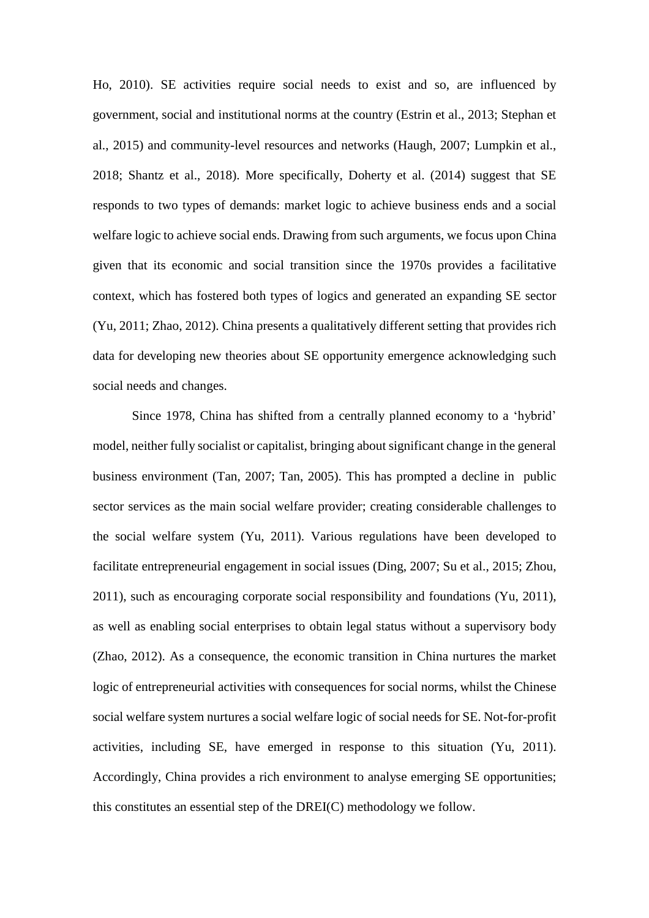Ho, [2010\)](#page-39-10). SE activities require social needs to exist and so, are influenced by government, social and institutional norms at the country [\(Estrin](#page-40-10) et al., 2013; [Stephan](#page-42-12) et al., [2015\)](#page-42-12) and community-level resources and networks [\(Haugh,](#page-40-11) 2007; [Lumpkin](#page-40-12) et al., [2018;](#page-40-12) [Shantz](#page-42-13) et al., 2018). More specifically, [Doherty](#page-39-11) et al. (2014) suggest that SE responds to two types of demands: market logic to achieve business ends and a social welfare logic to achieve social ends. Drawing from such arguments, we focus upon China given that its economic and social transition since the 1970s provides a facilitative context, which has fostered both types of logics and generated an expanding SE sector (Yu, [2011;](#page-42-1) [Zhao,](#page-42-2) 2012). China presents a qualitatively different setting that provides rich data for developing new theories about SE opportunity emergence acknowledging such social needs and changes.

Since 1978, China has shifted from a centrally planned economy to a 'hybrid' model, neither fully socialist or capitalist, bringing about significant change in the general business environment (Tan, [2007;](#page-42-14) Tan, [2005\)](#page-42-15). This has prompted a decline in public sector services as the main social welfare provider; creating considerable challenges to the social welfare system (Yu, [2011\)](#page-42-1). Various regulations have been developed to facilitate entrepreneurial engagement in social issues [\(Ding,](#page-39-12) 2007; Su et al., [2015;](#page-42-16) [Zhou,](#page-42-17) [2011\)](#page-42-17), such as encouraging corporate social responsibility and foundations (Yu, [2011\)](#page-42-1), as well as enabling social enterprises to obtain legal status without a supervisory body [\(Zhao,](#page-42-2) 2012). As a consequence, the economic transition in China nurtures the market logic of entrepreneurial activities with consequences for social norms, whilst the Chinese social welfare system nurtures a social welfare logic of social needs for SE. Not-for-profit activities, including SE, have emerged in response to this situation (Yu, [2011\)](#page-42-1). Accordingly, China provides a rich environment to analyse emerging SE opportunities; this constitutes an essential step of the DREI(C) methodology we follow.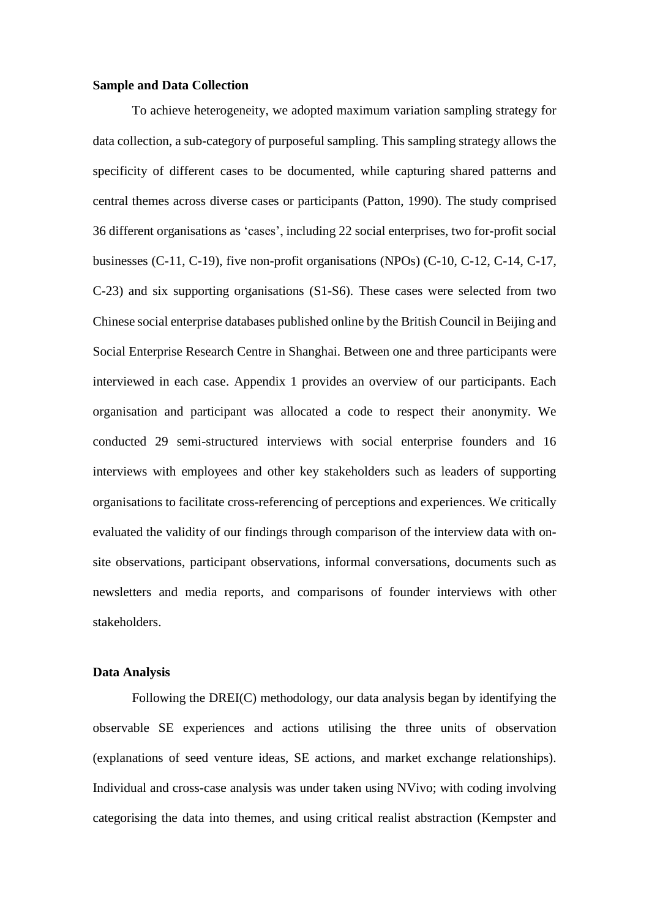#### **Sample and Data Collection**

To achieve heterogeneity, we adopted maximum variation sampling strategy for data collection, a sub-category of purposeful sampling. This sampling strategy allows the specificity of different cases to be documented, while capturing shared patterns and central themes across diverse cases or participants [\(Patton,](#page-41-15) 1990). The study comprised 36 different organisations as 'cases', including 22 social enterprises, two for-profit social businesses (C-11, C-19), five non-profit organisations (NPOs) (C-10, C-12, C-14, C-17, C-23) and six supporting organisations (S1-S6). These cases were selected from two Chinese social enterprise databases published online by the British Council in Beijing and Social Enterprise Research Centre in Shanghai. Between one and three participants were interviewed in each case. Appendix 1 provides an overview of our participants. Each organisation and participant was allocated a code to respect their anonymity. We conducted 29 semi-structured interviews with social enterprise founders and 16 interviews with employees and other key stakeholders such as leaders of supporting organisations to facilitate cross-referencing of perceptions and experiences. We critically evaluated the validity of our findings through comparison of the interview data with onsite observations, participant observations, informal conversations, documents such as newsletters and media reports, and comparisons of founder interviews with other stakeholders.

#### **Data Analysis**

Following the DREI(C) methodology, our data analysis began by identifying the observable SE experiences and actions utilising the three units of observation (explanations of seed venture ideas, SE actions, and market exchange relationships). Individual and cross-case analysis was under taken using NVivo; with coding involving categorising the data into themes, and using critical realist abstraction [\(Kempster](#page-40-13) and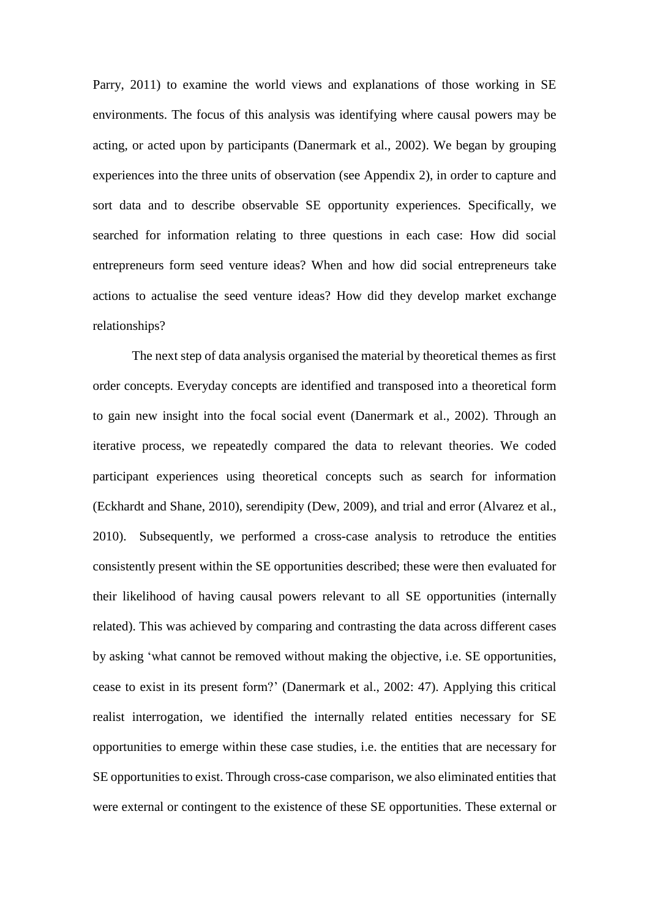[Parry,](#page-40-13) 2011) to examine the world views and explanations of those working in SE environments. The focus of this analysis was identifying where causal powers may be acting, or acted upon by participants [\(Danermark](#page-39-4) et al., 2002). We began by grouping experiences into the three units of observation (see Appendix 2), in order to capture and sort data and to describe observable SE opportunity experiences. Specifically, we searched for information relating to three questions in each case: How did social entrepreneurs form seed venture ideas? When and how did social entrepreneurs take actions to actualise the seed venture ideas? How did they develop market exchange relationships?

The next step of data analysis organised the material by theoretical themes as first order concepts. Everyday concepts are identified and transposed into a theoretical form to gain new insight into the focal social event [\(Danermark](#page-39-4) et al., 2002). Through an iterative process, we repeatedly compared the data to relevant theories. We coded participant experiences using theoretical concepts such as search for information [\(Eckhardt](#page-40-5) and Shane, 2010), serendipity [\(Dew,](#page-39-13) 2009), and trial and error [\(Alvarez](#page-38-2) et al., [2010\)](#page-38-2). Subsequently, we performed a cross-case analysis to retroduce the entities consistently present within the SE opportunities described; these were then evaluated for their likelihood of having causal powers relevant to all SE opportunities (internally related). This was achieved by comparing and contrasting the data across different cases by asking 'what cannot be removed without making the objective, i.e. SE opportunities, cease to exist in its present form?' [\(Danermark](#page-39-4) et al., 2002: 47). Applying this critical realist interrogation, we identified the internally related entities necessary for SE opportunities to emerge within these case studies, i.e. the entities that are necessary for SE opportunities to exist. Through cross-case comparison, we also eliminated entities that were external or contingent to the existence of these SE opportunities. These external or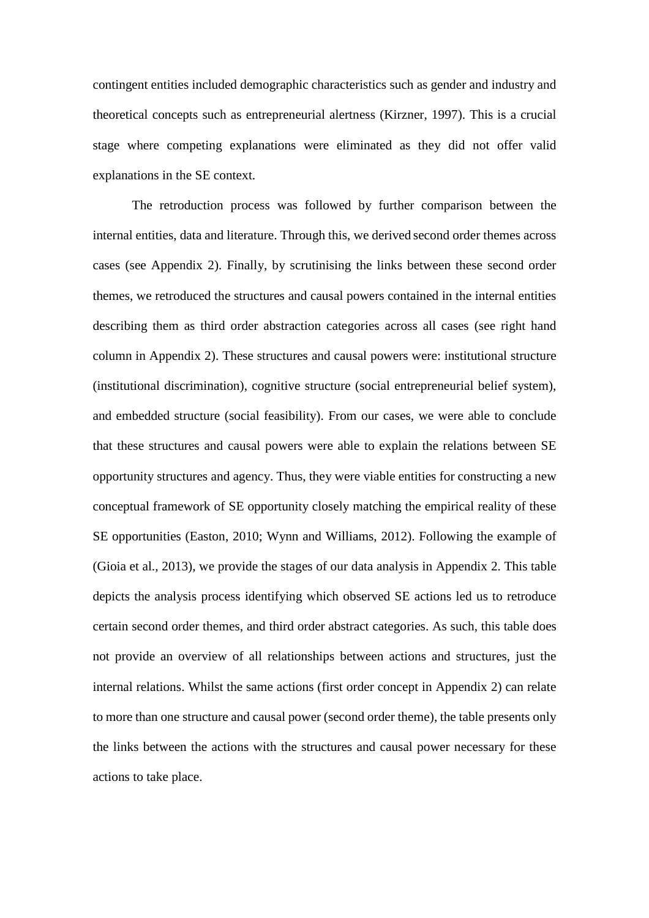contingent entities included demographic characteristics such as gender and industry and theoretical concepts such as entrepreneurial alertness [\(Kirzner,](#page-40-6) 1997). This is a crucial stage where competing explanations were eliminated as they did not offer valid explanations in the SE context.

The retroduction process was followed by further comparison between the internal entities, data and literature. Through this, we derived second order themes across cases (see Appendix 2). Finally, by scrutinising the links between these second order themes, we retroduced the structures and causal powers contained in the internal entities describing them as third order abstraction categories across all cases (see right hand column in Appendix 2). These structures and causal powers were: institutional structure (institutional discrimination), cognitive structure (social entrepreneurial belief system), and embedded structure (social feasibility). From our cases, we were able to conclude that these structures and causal powers were able to explain the relations between SE opportunity structures and agency. Thus, they were viable entities for constructing a new conceptual framework of SE opportunity closely matching the empirical reality of these SE opportunities [\(Easton,](#page-39-6) 2010; Wynn and [Williams,](#page-42-18) 2012). Following the example of [\(Gioia](#page-40-14) et al., 2013), we provide the stages of our data analysis in Appendix 2. This table depicts the analysis process identifying which observed SE actions led us to retroduce certain second order themes, and third order abstract categories. As such, this table does not provide an overview of all relationships between actions and structures, just the internal relations. Whilst the same actions (first order concept in Appendix 2) can relate to more than one structure and causal power (second order theme), the table presents only the links between the actions with the structures and causal power necessary for these actions to take place.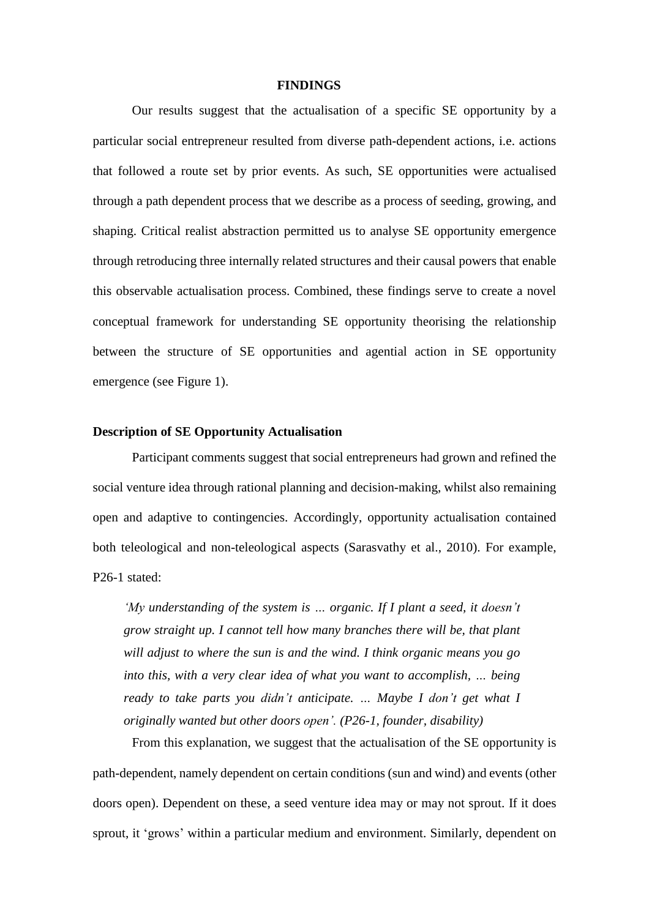#### **FINDINGS**

Our results suggest that the actualisation of a specific SE opportunity by a particular social entrepreneur resulted from diverse path-dependent actions, i.e. actions that followed a route set by prior events. As such, SE opportunities were actualised through a path dependent process that we describe as a process of seeding, growing, and shaping. Critical realist abstraction permitted us to analyse SE opportunity emergence through retroducing three internally related structures and their causal powers that enable this observable actualisation process. Combined, these findings serve to create a novel conceptual framework for understanding SE opportunity theorising the relationship between the structure of SE opportunities and agential action in SE opportunity emergence (see Figure 1).

#### **Description of SE Opportunity Actualisation**

Participant comments suggest that social entrepreneurs had grown and refined the social venture idea through rational planning and decision-making, whilst also remaining open and adaptive to contingencies. Accordingly, opportunity actualisation contained both teleological and non-teleological aspects [\(Sarasvathy](#page-42-7) et al., 2010). For example, P26-1 stated:

*'My understanding of the system is … organic. If I plant a seed, it doesn't grow straight up. I cannot tell how many branches there will be, that plant will adjust to where the sun is and the wind. I think organic means you go into this, with a very clear idea of what you want to accomplish, … being ready to take parts you didn't anticipate. … Maybe I don't get what I originally wanted but other doors open'. (P26-1, founder, disability)*

From this explanation, we suggest that the actualisation of the SE opportunity is path-dependent, namely dependent on certain conditions (sun and wind) and events (other doors open). Dependent on these, a seed venture idea may or may not sprout. If it does sprout, it 'grows' within a particular medium and environment. Similarly, dependent on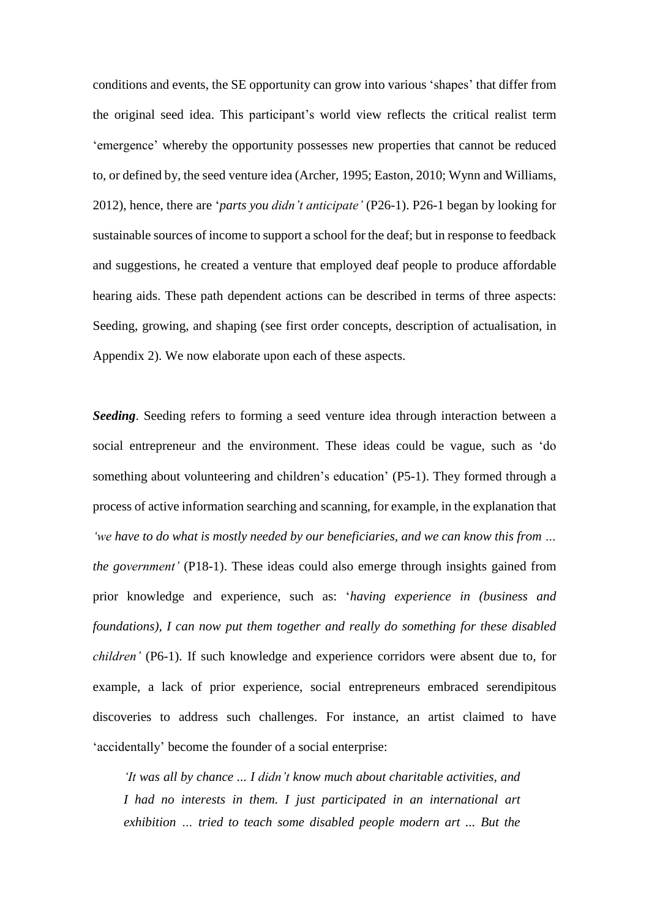conditions and events, the SE opportunity can grow into various 'shapes' that differ from the original seed idea. This participant's world view reflects the critical realist term 'emergence' whereby the opportunity possesses new properties that cannot be reduced to, or defined by, the seed venture idea [\(Archer,](#page-38-3) 1995; [Easton,](#page-39-6) 2010; Wynn and [Williams,](#page-42-18) [2012\)](#page-42-18), hence, there are '*parts you didn't anticipate'* (P26-1). P26-1 began by looking for sustainable sources of income to support a school for the deaf; but in response to feedback and suggestions, he created a venture that employed deaf people to produce affordable hearing aids. These path dependent actions can be described in terms of three aspects: Seeding, growing, and shaping (see first order concepts, description of actualisation, in Appendix 2). We now elaborate upon each of these aspects.

*Seeding*. Seeding refers to forming a seed venture idea through interaction between a social entrepreneur and the environment. These ideas could be vague, such as 'do something about volunteering and children's education' (P5-1). They formed through a process of active information searching and scanning, for example, in the explanation that *'we have to do what is mostly needed by our beneficiaries, and we can know this from … the government'* (P18-1). These ideas could also emerge through insights gained from prior knowledge and experience, such as: '*having experience in (business and foundations), I can now put them together and really do something for these disabled children'* (P6-1). If such knowledge and experience corridors were absent due to, for example, a lack of prior experience, social entrepreneurs embraced serendipitous discoveries to address such challenges. For instance, an artist claimed to have 'accidentally' become the founder of a social enterprise:

*'It was all by chance ... I didn't know much about charitable activities, and I had no interests in them. I just participated in an international art exhibition … tried to teach some disabled people modern art ... But the*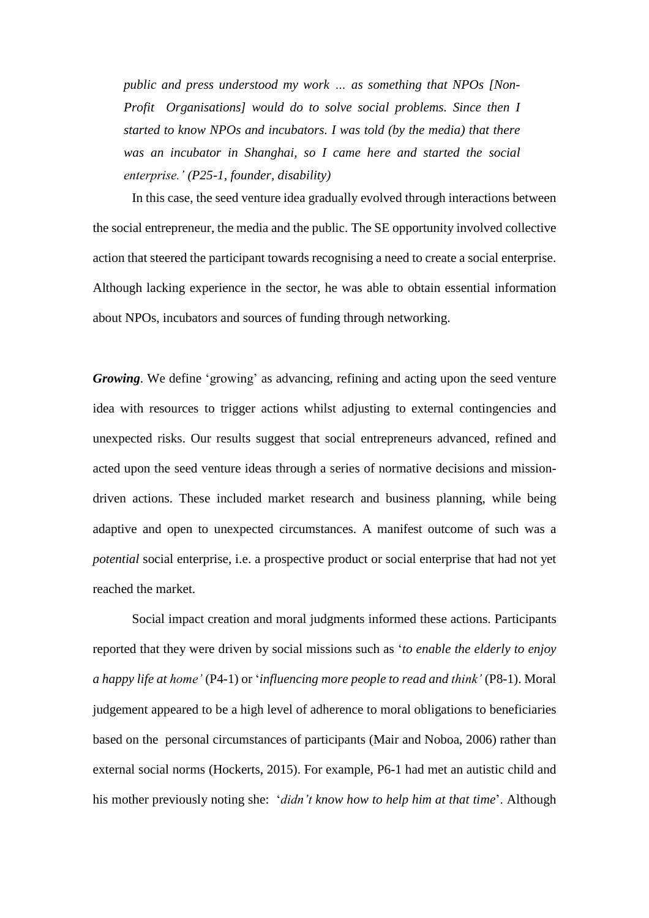*public and press understood my work … as something that NPOs [Non-Profit Organisations] would do to solve social problems. Since then I started to know NPOs and incubators. I was told (by the media) that there was an incubator in Shanghai, so I came here and started the social enterprise.' (P25-1, founder, disability)*

In this case, the seed venture idea gradually evolved through interactions between the social entrepreneur, the media and the public. The SE opportunity involved collective action that steered the participant towards recognising a need to create a social enterprise. Although lacking experience in the sector, he was able to obtain essential information about NPOs, incubators and sources of funding through networking.

*Growing*. We define 'growing' as advancing, refining and acting upon the seed venture idea with resources to trigger actions whilst adjusting to external contingencies and unexpected risks. Our results suggest that social entrepreneurs advanced, refined and acted upon the seed venture ideas through a series of normative decisions and missiondriven actions. These included market research and business planning, while being adaptive and open to unexpected circumstances. A manifest outcome of such was a *potential* social enterprise, i.e. a prospective product or social enterprise that had not yet reached the market.

Social impact creation and moral judgments informed these actions. Participants reported that they were driven by social missions such as '*to enable the elderly to enjoy a happy life at home'* (P4-1) or '*influencing more people to read and think'* (P8-1). Moral judgement appeared to be a high level of adherence to moral obligations to beneficiaries based on the personal circumstances of participants (Mair and [Noboa,](#page-40-15) 2006) rather than external social norms [\(Hockerts,](#page-40-0) 2015). For example, P6-1 had met an autistic child and his mother previously noting she: '*didn't know how to help him at that time*'. Although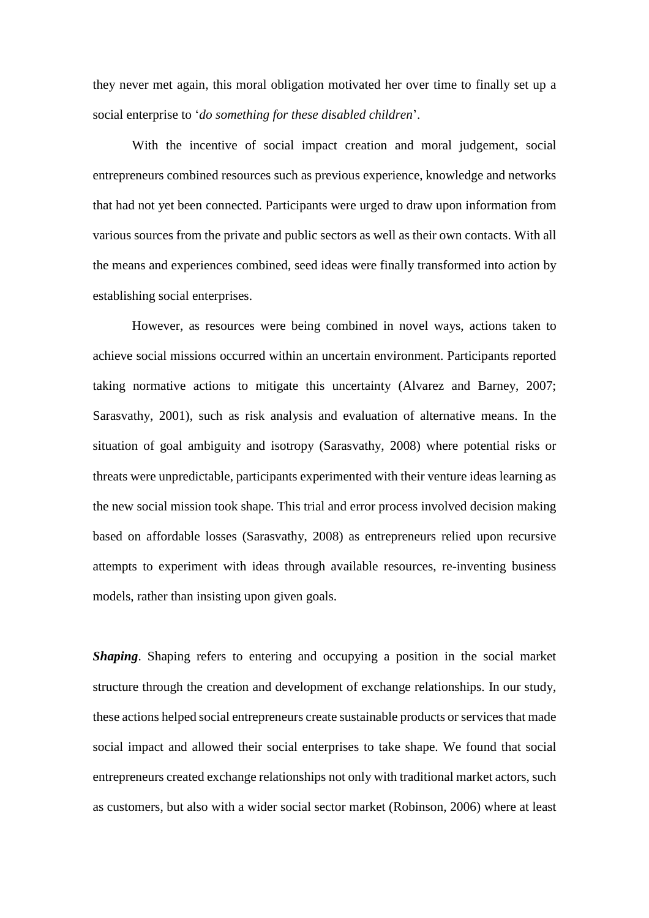they never met again, this moral obligation motivated her over time to finally set up a social enterprise to '*do something for these disabled children*'.

With the incentive of social impact creation and moral judgement, social entrepreneurs combined resources such as previous experience, knowledge and networks that had not yet been connected. Participants were urged to draw upon information from various sources from the private and public sectors as well as their own contacts. With all the means and experiences combined, seed ideas were finally transformed into action by establishing social enterprises.

However, as resources were being combined in novel ways, actions taken to achieve social missions occurred within an uncertain environment. Participants reported taking normative actions to mitigate this uncertainty [\(Alvarez](#page-38-1) and Barney, 2007; [Sarasvathy,](#page-41-16) 2001), such as risk analysis and evaluation of alternative means. In the situation of goal ambiguity and isotropy [\(Sarasvathy,](#page-42-9) 2008) where potential risks or threats were unpredictable, participants experimented with their venture ideas learning as the new social mission took shape. This trial and error process involved decision making based on affordable losses [\(Sarasvathy,](#page-42-9) 2008) as entrepreneurs relied upon recursive attempts to experiment with ideas through available resources, re-inventing business models, rather than insisting upon given goals.

*Shaping*. Shaping refers to entering and occupying a position in the social market structure through the creation and development of exchange relationships. In our study, these actions helped social entrepreneurs create sustainable products or services that made social impact and allowed their social enterprises to take shape. We found that social entrepreneurs created exchange relationships not only with traditional market actors, such as customers, but also with a wider social sector market [\(Robinson,](#page-41-6) 2006) where at least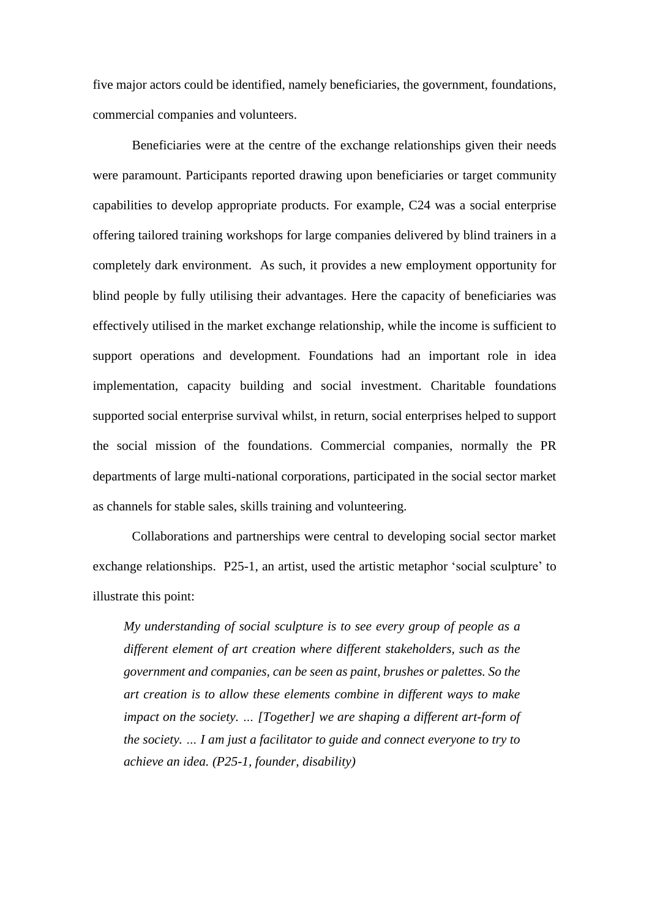five major actors could be identified, namely beneficiaries, the government, foundations, commercial companies and volunteers.

Beneficiaries were at the centre of the exchange relationships given their needs were paramount. Participants reported drawing upon beneficiaries or target community capabilities to develop appropriate products. For example, C24 was a social enterprise offering tailored training workshops for large companies delivered by blind trainers in a completely dark environment. As such, it provides a new employment opportunity for blind people by fully utilising their advantages. Here the capacity of beneficiaries was effectively utilised in the market exchange relationship, while the income is sufficient to support operations and development. Foundations had an important role in idea implementation, capacity building and social investment. Charitable foundations supported social enterprise survival whilst, in return, social enterprises helped to support the social mission of the foundations. Commercial companies, normally the PR departments of large multi-national corporations, participated in the social sector market as channels for stable sales, skills training and volunteering.

Collaborations and partnerships were central to developing social sector market exchange relationships. P25-1, an artist, used the artistic metaphor 'social sculpture' to illustrate this point:

*My understanding of social sculpture is to see every group of people as a different element of art creation where different stakeholders, such as the government and companies, can be seen as paint, brushes or palettes. So the art creation is to allow these elements combine in different ways to make impact on the society. … [Together] we are shaping a different art-form of the society. … I am just a facilitator to guide and connect everyone to try to achieve an idea. (P25-1, founder, disability)*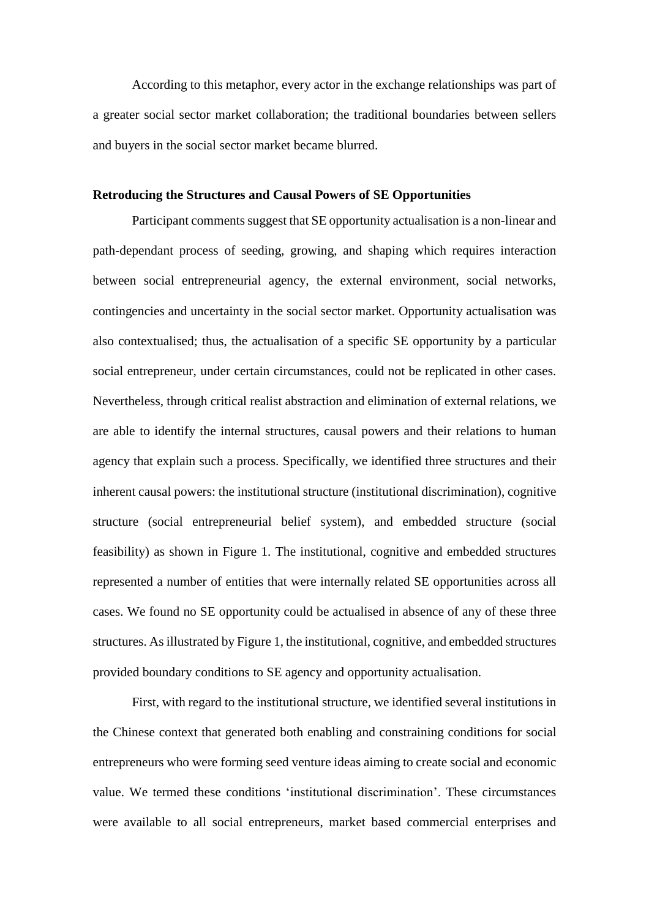According to this metaphor, every actor in the exchange relationships was part of a greater social sector market collaboration; the traditional boundaries between sellers and buyers in the social sector market became blurred.

#### **Retroducing the Structures and Causal Powers of SE Opportunities**

Participant comments suggest that SE opportunity actualisation is a non-linear and path-dependant process of seeding, growing, and shaping which requires interaction between social entrepreneurial agency, the external environment, social networks, contingencies and uncertainty in the social sector market. Opportunity actualisation was also contextualised; thus, the actualisation of a specific SE opportunity by a particular social entrepreneur, under certain circumstances, could not be replicated in other cases. Nevertheless, through critical realist abstraction and elimination of external relations, we are able to identify the internal structures, causal powers and their relations to human agency that explain such a process. Specifically, we identified three structures and their inherent causal powers: the institutional structure (institutional discrimination), cognitive structure (social entrepreneurial belief system), and embedded structure (social feasibility) as shown in Figure 1. The institutional, cognitive and embedded structures represented a number of entities that were internally related SE opportunities across all cases. We found no SE opportunity could be actualised in absence of any of these three structures. As illustrated by Figure 1, the institutional, cognitive, and embedded structures provided boundary conditions to SE agency and opportunity actualisation.

First, with regard to the institutional structure, we identified several institutions in the Chinese context that generated both enabling and constraining conditions for social entrepreneurs who were forming seed venture ideas aiming to create social and economic value. We termed these conditions 'institutional discrimination'. These circumstances were available to all social entrepreneurs, market based commercial enterprises and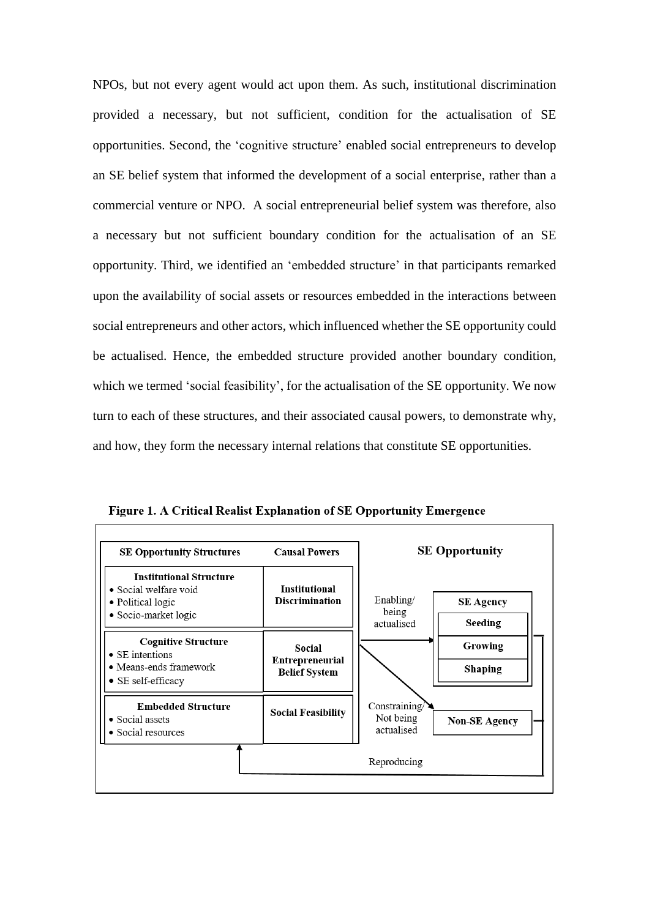NPOs, but not every agent would act upon them. As such, institutional discrimination provided a necessary, but not sufficient, condition for the actualisation of SE opportunities. Second, the 'cognitive structure' enabled social entrepreneurs to develop an SE belief system that informed the development of a social enterprise, rather than a commercial venture or NPO. A social entrepreneurial belief system was therefore, also a necessary but not sufficient boundary condition for the actualisation of an SE opportunity. Third, we identified an 'embedded structure' in that participants remarked upon the availability of social assets or resources embedded in the interactions between social entrepreneurs and other actors, which influenced whether the SE opportunity could be actualised. Hence, the embedded structure provided another boundary condition, which we termed 'social feasibility', for the actualisation of the SE opportunity. We now turn to each of these structures, and their associated causal powers, to demonstrate why, and how, they form the necessary internal relations that constitute SE opportunities.



Figure 1. A Critical Realist Explanation of SE Opportunity Emergence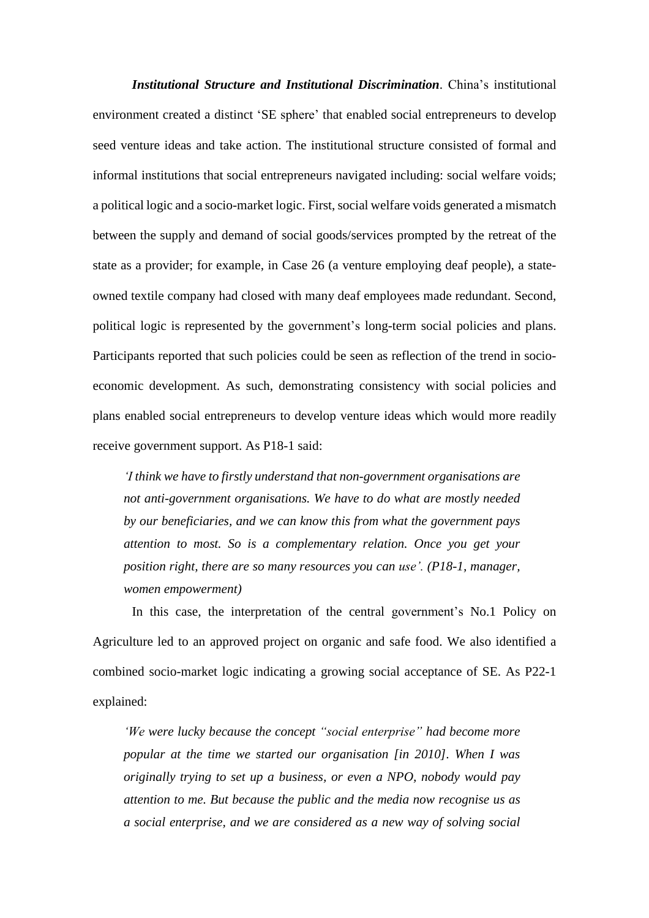*Institutional Structure and Institutional Discrimination*. China's institutional environment created a distinct 'SE sphere' that enabled social entrepreneurs to develop seed venture ideas and take action. The institutional structure consisted of formal and informal institutions that social entrepreneurs navigated including: social welfare voids; a political logic and a socio-market logic. First, social welfare voids generated a mismatch between the supply and demand of social goods/services prompted by the retreat of the state as a provider; for example, in Case 26 (a venture employing deaf people), a stateowned textile company had closed with many deaf employees made redundant. Second, political logic is represented by the government's long-term social policies and plans. Participants reported that such policies could be seen as reflection of the trend in socioeconomic development. As such, demonstrating consistency with social policies and plans enabled social entrepreneurs to develop venture ideas which would more readily receive government support. As P18-1 said:

*'I think we have to firstly understand that non-government organisations are not anti-government organisations. We have to do what are mostly needed by our beneficiaries, and we can know this from what the government pays attention to most. So is a complementary relation. Once you get your position right, there are so many resources you can use'. (P18-1, manager, women empowerment)*

In this case, the interpretation of the central government's No.1 Policy on Agriculture led to an approved project on organic and safe food. We also identified a combined socio-market logic indicating a growing social acceptance of SE. As P22-1 explained:

*'We were lucky because the concept "social enterprise" had become more popular at the time we started our organisation [in 2010]. When I was originally trying to set up a business, or even a NPO, nobody would pay attention to me. But because the public and the media now recognise us as a social enterprise, and we are considered as a new way of solving social*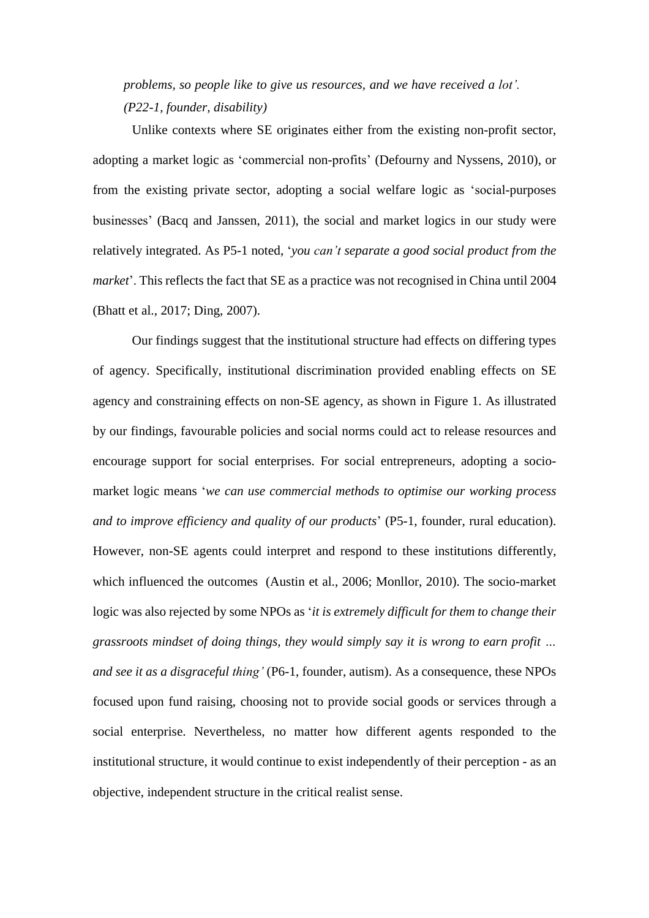*problems, so people like to give us resources, and we have received a lot'. (P22-1, founder, disability)*

Unlike contexts where SE originates either from the existing non-profit sector, adopting a market logic as 'commercial non-profits' [\(Defourny](#page-39-14) and Nyssens, 2010), or from the existing private sector, adopting a social welfare logic as 'social-purposes businesses' (Bacq and [Janssen,](#page-38-5) 2011), the social and market logics in our study were relatively integrated. As P5-1 noted, '*you can't separate a good social product from the market*'. This reflects the fact that SE as a practice was not recognised in China until 2004 [\(Bhatt](#page-39-15) et al., 2017; [Ding,](#page-39-12) 2007).

Our findings suggest that the institutional structure had effects on differing types of agency. Specifically, institutional discrimination provided enabling effects on SE agency and constraining effects on non-SE agency, as shown in Figure 1. As illustrated by our findings, favourable policies and social norms could act to release resources and encourage support for social enterprises. For social entrepreneurs, adopting a sociomarket logic means '*we can use commercial methods to optimise our working process and to improve efficiency and quality of our products*' (P5-1, founder, rural education). However, non-SE agents could interpret and respond to these institutions differently, which influenced the outcomes [\(Austin](#page-38-0) et al., 2006; [Monllor,](#page-41-1) 2010). The socio-market logic was also rejected by some NPOs as '*it is extremely difficult for them to change their grassroots mindset of doing things, they would simply say it is wrong to earn profit … and see it as a disgraceful thing'* (P6-1, founder, autism). As a consequence, these NPOs focused upon fund raising, choosing not to provide social goods or services through a social enterprise. Nevertheless, no matter how different agents responded to the institutional structure, it would continue to exist independently of their perception - as an objective, independent structure in the critical realist sense.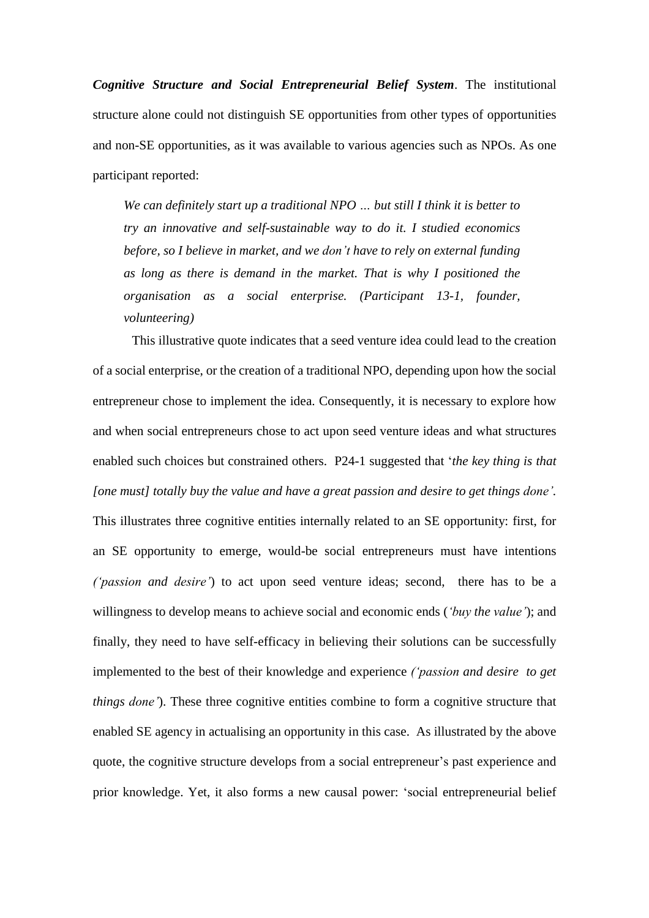*Cognitive Structure and Social Entrepreneurial Belief System*. The institutional structure alone could not distinguish SE opportunities from other types of opportunities and non-SE opportunities, as it was available to various agencies such as NPOs. As one participant reported:

*We can definitely start up a traditional NPO … but still I think it is better to try an innovative and self-sustainable way to do it. I studied economics before, so I believe in market, and we don't have to rely on external funding as long as there is demand in the market. That is why I positioned the organisation as a social enterprise. (Participant 13-1, founder, volunteering)*

This illustrative quote indicates that a seed venture idea could lead to the creation of a social enterprise, or the creation of a traditional NPO, depending upon how the social entrepreneur chose to implement the idea. Consequently, it is necessary to explore how and when social entrepreneurs chose to act upon seed venture ideas and what structures enabled such choices but constrained others. P24-1 suggested that '*the key thing is that [one must] totally buy the value and have a great passion and desire to get things done'.* This illustrates three cognitive entities internally related to an SE opportunity: first, for an SE opportunity to emerge, would-be social entrepreneurs must have intentions *('passion and desire'*) to act upon seed venture ideas; second, there has to be a willingness to develop means to achieve social and economic ends (*'buy the value'*); and finally, they need to have self-efficacy in believing their solutions can be successfully implemented to the best of their knowledge and experience *('passion and desire to get things done'*). These three cognitive entities combine to form a cognitive structure that enabled SE agency in actualising an opportunity in this case. As illustrated by the above quote, the cognitive structure develops from a social entrepreneur's past experience and prior knowledge. Yet, it also forms a new causal power: 'social entrepreneurial belief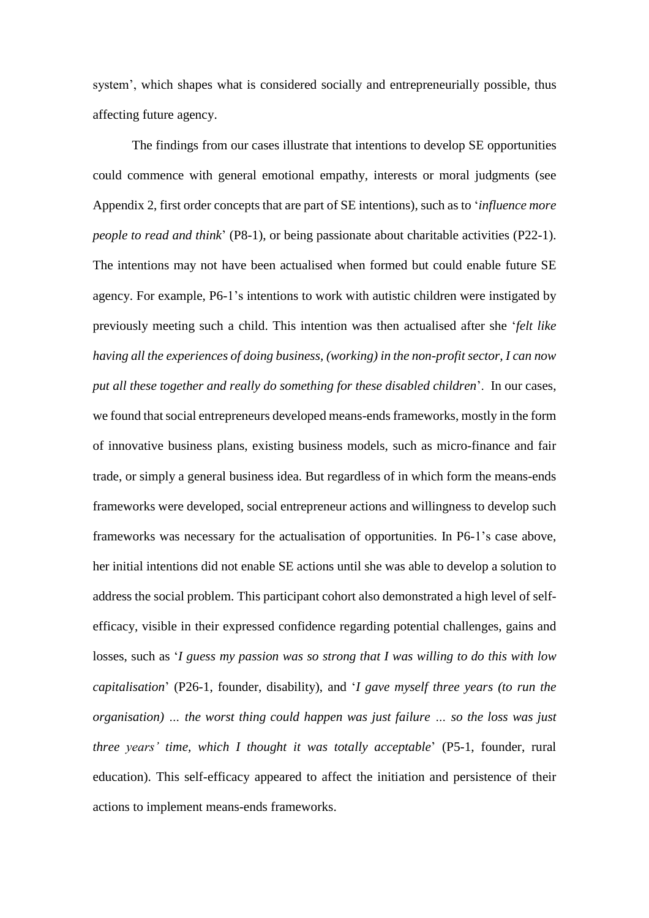system', which shapes what is considered socially and entrepreneurially possible, thus affecting future agency.

The findings from our cases illustrate that intentions to develop SE opportunities could commence with general emotional empathy, interests or moral judgments (see Appendix 2, first order concepts that are part of SE intentions), such as to '*influence more people to read and think*' (P8-1), or being passionate about charitable activities (P22-1). The intentions may not have been actualised when formed but could enable future SE agency. For example, P6-1's intentions to work with autistic children were instigated by previously meeting such a child. This intention was then actualised after she '*felt like having all the experiences of doing business, (working) in the non-profit sector, I can now put all these together and really do something for these disabled children*'. In our cases, we found that social entrepreneurs developed means-ends frameworks, mostly in the form of innovative business plans, existing business models, such as micro-finance and fair trade, or simply a general business idea. But regardless of in which form the means-ends frameworks were developed, social entrepreneur actions and willingness to develop such frameworks was necessary for the actualisation of opportunities. In P6-1's case above, her initial intentions did not enable SE actions until she was able to develop a solution to address the social problem. This participant cohort also demonstrated a high level of selfefficacy, visible in their expressed confidence regarding potential challenges, gains and losses, such as '*I guess my passion was so strong that I was willing to do this with low capitalisation*' (P26-1, founder, disability), and '*I gave myself three years (to run the organisation) … the worst thing could happen was just failure … so the loss was just three years' time, which I thought it was totally acceptable*' (P5-1, founder, rural education). This self-efficacy appeared to affect the initiation and persistence of their actions to implement means-ends frameworks.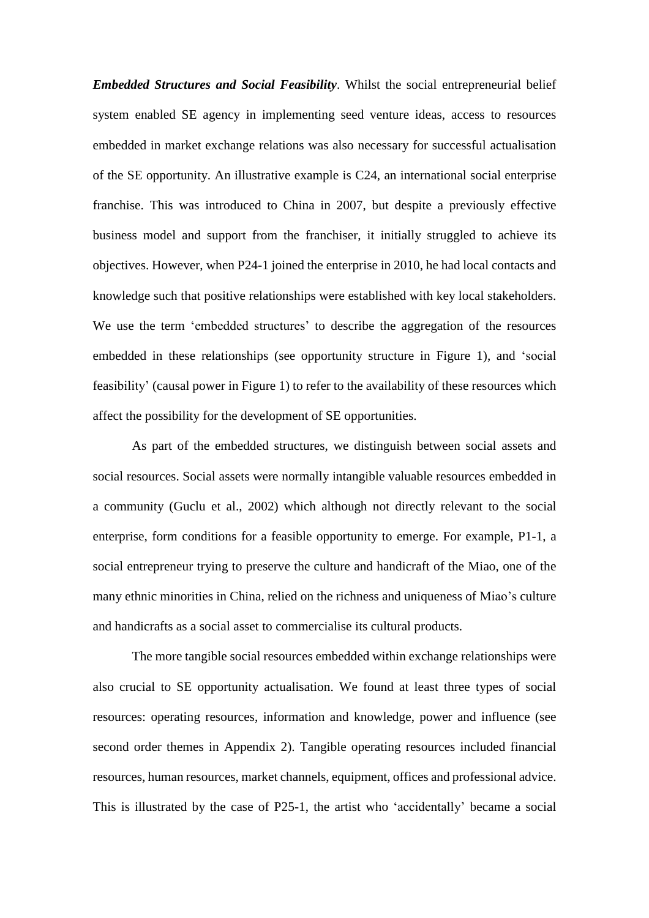*Embedded Structures and Social Feasibility*. Whilst the social entrepreneurial belief system enabled SE agency in implementing seed venture ideas, access to resources embedded in market exchange relations was also necessary for successful actualisation of the SE opportunity. An illustrative example is C24, an international social enterprise franchise. This was introduced to China in 2007, but despite a previously effective business model and support from the franchiser, it initially struggled to achieve its objectives. However, when P24-1 joined the enterprise in 2010, he had local contacts and knowledge such that positive relationships were established with key local stakeholders. We use the term 'embedded structures' to describe the aggregation of the resources embedded in these relationships (see opportunity structure in Figure 1), and 'social feasibility' (causal power in Figure 1) to refer to the availability of these resources which affect the possibility for the development of SE opportunities.

As part of the embedded structures, we distinguish between social assets and social resources. Social assets were normally intangible valuable resources embedded in a community [\(Guclu](#page-40-2) et al., 2002) which although not directly relevant to the social enterprise, form conditions for a feasible opportunity to emerge. For example, P1-1, a social entrepreneur trying to preserve the culture and handicraft of the Miao, one of the many ethnic minorities in China, relied on the richness and uniqueness of Miao's culture and handicrafts as a social asset to commercialise its cultural products.

The more tangible social resources embedded within exchange relationships were also crucial to SE opportunity actualisation. We found at least three types of social resources: operating resources, information and knowledge, power and influence (see second order themes in Appendix 2). Tangible operating resources included financial resources, human resources, market channels, equipment, offices and professional advice. This is illustrated by the case of P25-1, the artist who 'accidentally' became a social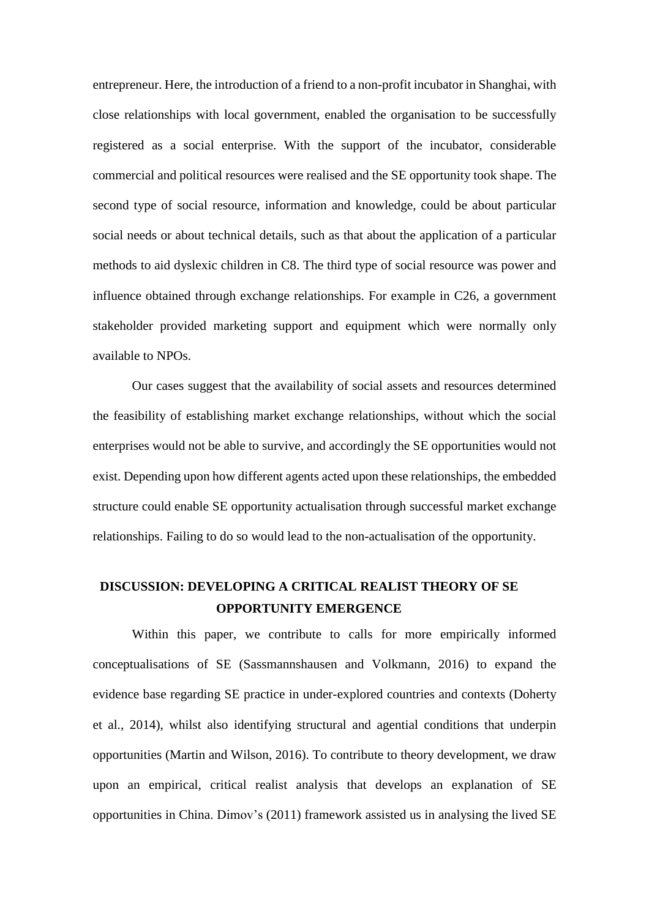entrepreneur. Here, the introduction of a friend to a non-profit incubator in Shanghai, with close relationships with local government, enabled the organisation to be successfully registered as a social enterprise. With the support of the incubator, considerable commercial and political resources were realised and the SE opportunity took shape. The second type of social resource, information and knowledge, could be about particular social needs or about technical details, such as that about the application of a particular methods to aid dyslexic children in C8. The third type of social resource was power and influence obtained through exchange relationships. For example in C26, a government stakeholder provided marketing support and equipment which were normally only available to NPOs.

Our cases suggest that the availability of social assets and resources determined the feasibility of establishing market exchange relationships, without which the social enterprises would not be able to survive, and accordingly the SE opportunities would not exist. Depending upon how different agents acted upon these relationships, the embedded structure could enable SE opportunity actualisation through successful market exchange relationships. Failing to do so would lead to the non-actualisation of the opportunity.

## **DISCUSSION: DEVELOPING A CRITICAL REALIST THEORY OF SE OPPORTUNITY EMERGENCE**

Within this paper, we contribute to calls for more empirically informed conceptualisations of SE [\(Sassmannshausen](#page-42-0) and Volkmann, 2016) to expand the evidence base regarding SE practice in under-explored countries and contexts [\(Doherty](#page-39-11) et al., [2014\)](#page-39-11), whilst also identifying structural and agential conditions that underpin opportunities (Martin and [Wilson,](#page-41-13) 2016). To contribute to theory development, we draw upon an empirical, critical realist analysis that develops an explanation of SE opportunities in China. Dimov's (2011) framework assisted us in analysing the lived SE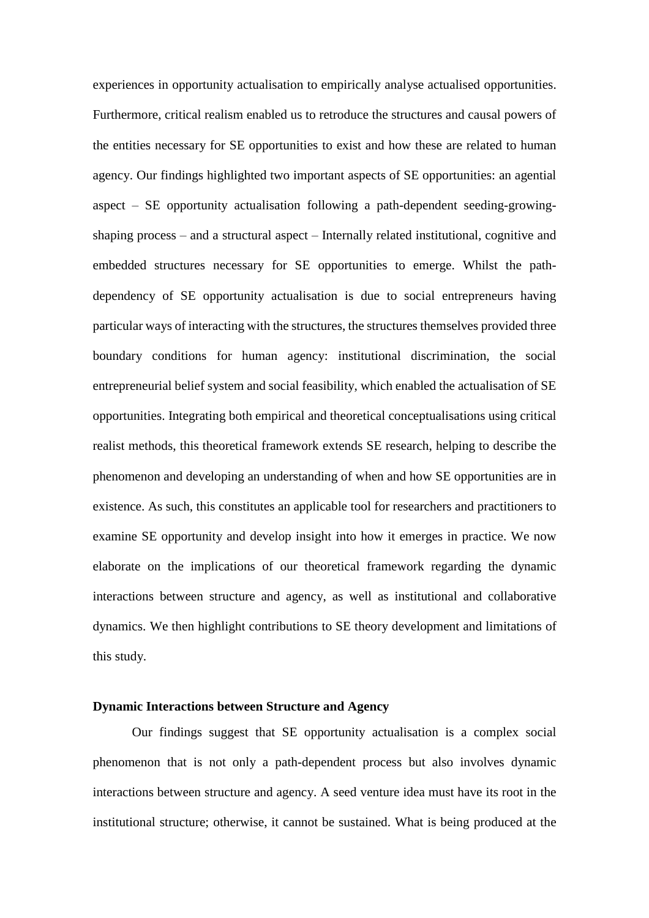experiences in opportunity actualisation to empirically analyse actualised opportunities. Furthermore, critical realism enabled us to retroduce the structures and causal powers of the entities necessary for SE opportunities to exist and how these are related to human agency. Our findings highlighted two important aspects of SE opportunities: an agential aspect – SE opportunity actualisation following a path-dependent seeding-growingshaping process – and a structural aspect – Internally related institutional, cognitive and embedded structures necessary for SE opportunities to emerge. Whilst the pathdependency of SE opportunity actualisation is due to social entrepreneurs having particular ways of interacting with the structures, the structures themselves provided three boundary conditions for human agency: institutional discrimination, the social entrepreneurial belief system and social feasibility, which enabled the actualisation of SE opportunities. Integrating both empirical and theoretical conceptualisations using critical realist methods, this theoretical framework extends SE research, helping to describe the phenomenon and developing an understanding of when and how SE opportunities are in existence. As such, this constitutes an applicable tool for researchers and practitioners to examine SE opportunity and develop insight into how it emerges in practice. We now elaborate on the implications of our theoretical framework regarding the dynamic interactions between structure and agency, as well as institutional and collaborative dynamics. We then highlight contributions to SE theory development and limitations of this study.

#### **Dynamic Interactions between Structure and Agency**

Our findings suggest that SE opportunity actualisation is a complex social phenomenon that is not only a path-dependent process but also involves dynamic interactions between structure and agency. A seed venture idea must have its root in the institutional structure; otherwise, it cannot be sustained. What is being produced at the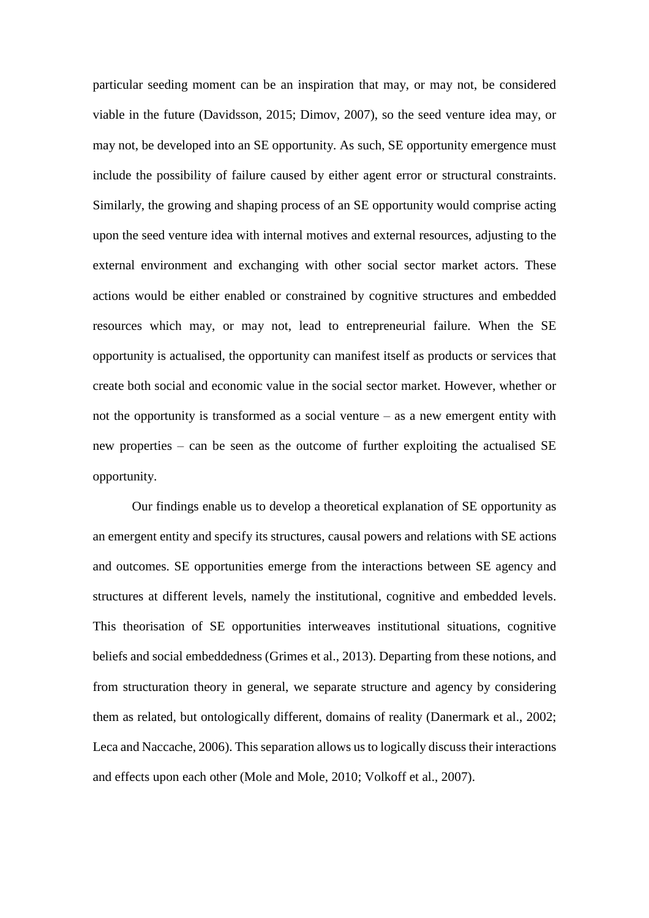particular seeding moment can be an inspiration that may, or may not, be considered viable in the future [\(Davidsson,](#page-39-16) 2015; [Dimov,](#page-39-17) 2007), so the seed venture idea may, or may not, be developed into an SE opportunity. As such, SE opportunity emergence must include the possibility of failure caused by either agent error or structural constraints. Similarly, the growing and shaping process of an SE opportunity would comprise acting upon the seed venture idea with internal motives and external resources, adjusting to the external environment and exchanging with other social sector market actors. These actions would be either enabled or constrained by cognitive structures and embedded resources which may, or may not, lead to entrepreneurial failure. When the SE opportunity is actualised, the opportunity can manifest itself as products or services that create both social and economic value in the social sector market. However, whether or not the opportunity is transformed as a social venture – as a new emergent entity with new properties – can be seen as the outcome of further exploiting the actualised SE opportunity.

Our findings enable us to develop a theoretical explanation of SE opportunity as an emergent entity and specify its structures, causal powers and relations with SE actions and outcomes. SE opportunities emerge from the interactions between SE agency and structures at different levels, namely the institutional, cognitive and embedded levels. This theorisation of SE opportunities interweaves institutional situations, cognitive beliefs and social embeddedness [\(Grimes](#page-40-16) et al., 2013). Departing from these notions, and from structuration theory in general, we separate structure and agency by considering them as related, but ontologically different, domains of reality [\(Danermark](#page-39-4) et al., 2002; Leca and [Naccache,](#page-40-8) 2006). This separation allows us to logically discuss their interactions and effects upon each other (Mole and [Mole,](#page-41-9) 2010; [Volkoff](#page-42-19) et al., 2007).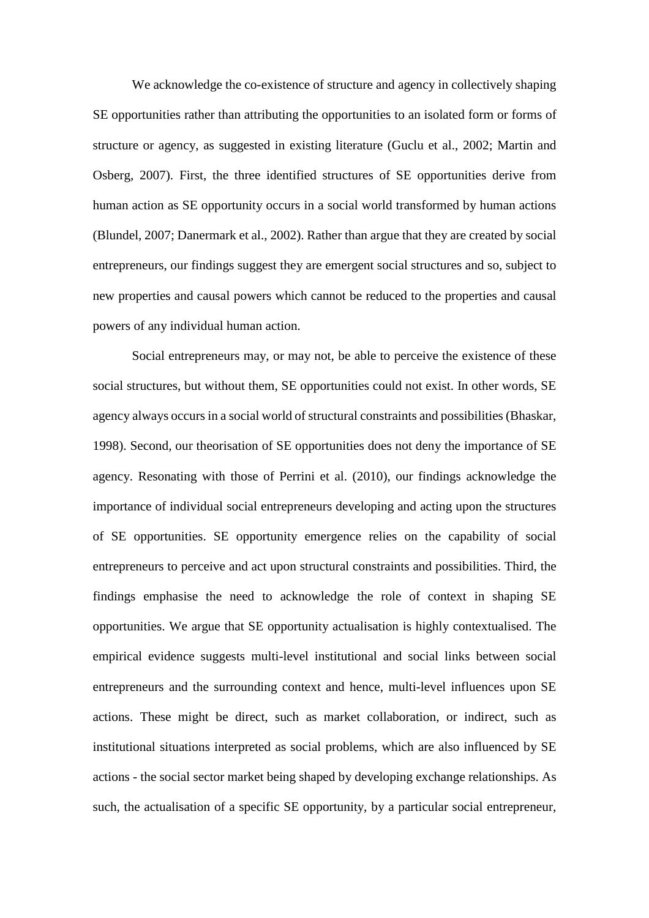We acknowledge the co-existence of structure and agency in collectively shaping SE opportunities rather than attributing the opportunities to an isolated form or forms of structure or agency, as suggested in existing literature [\(Guclu](#page-40-2) et al., 2002; [Martin](#page-41-4) and [Osberg,](#page-41-4) 2007). First, the three identified structures of SE opportunities derive from human action as SE opportunity occurs in a social world transformed by human actions [\(Blundel,](#page-39-9) 2007; [Danermark](#page-39-4) et al., 2002). Rather than argue that they are created by social entrepreneurs, our findings suggest they are emergent social structures and so, subject to new properties and causal powers which cannot be reduced to the properties and causal powers of any individual human action.

Social entrepreneurs may, or may not, be able to perceive the existence of these social structures, but without them, SE opportunities could not exist. In other words, SE agency always occurs in a social world of structural constraints and possibilities [\(Bhaskar,](#page-39-18) [1998\)](#page-39-18). Second, our theorisation of SE opportunities does not deny the importance of SE agency. Resonating with those of Perrini et al. [\(2010\),](#page-41-3) our findings acknowledge the importance of individual social entrepreneurs developing and acting upon the structures of SE opportunities. SE opportunity emergence relies on the capability of social entrepreneurs to perceive and act upon structural constraints and possibilities. Third, the findings emphasise the need to acknowledge the role of context in shaping SE opportunities. We argue that SE opportunity actualisation is highly contextualised. The empirical evidence suggests multi-level institutional and social links between social entrepreneurs and the surrounding context and hence, multi-level influences upon SE actions. These might be direct, such as market collaboration, or indirect, such as institutional situations interpreted as social problems, which are also influenced by SE actions - the social sector market being shaped by developing exchange relationships. As such, the actualisation of a specific SE opportunity, by a particular social entrepreneur,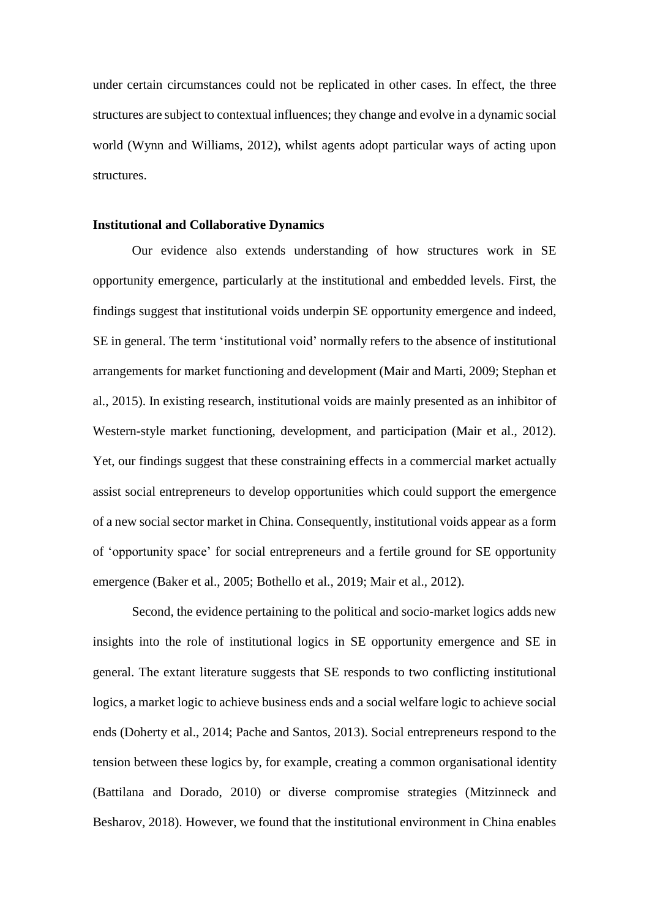under certain circumstances could not be replicated in other cases. In effect, the three structures are subject to contextual influences; they change and evolve in a dynamic social world (Wynn and [Williams,](#page-42-18) 2012), whilst agents adopt particular ways of acting upon structures.

#### **Institutional and Collaborative Dynamics**

Our evidence also extends understanding of how structures work in SE opportunity emergence, particularly at the institutional and embedded levels. First, the findings suggest that institutional voids underpin SE opportunity emergence and indeed, SE in general. The term 'institutional void' normally refers to the absence of institutional arrangements for market functioning and development (Mair and [Marti,](#page-40-17) 2009; [Stephan](#page-42-12) et al., [2015\)](#page-42-12). In existing research, institutional voids are mainly presented as an inhibitor of Western-style market functioning, development, and participation (Mair et al., [2012\)](#page-40-18). Yet, our findings suggest that these constraining effects in a commercial market actually assist social entrepreneurs to develop opportunities which could support the emergence of a new social sector market in China. Consequently, institutional voids appear as a form of 'opportunity space' for social entrepreneurs and a fertile ground for SE opportunity emergence [\(Baker](#page-38-6) et al., 2005; [Bothello](#page-39-19) et al., 2019; Mair et al., [2012\)](#page-40-18).

Second, the evidence pertaining to the political and socio-market logics adds new insights into the role of institutional logics in SE opportunity emergence and SE in general. The extant literature suggests that SE responds to two conflicting institutional logics, a market logic to achieve business ends and a social welfare logic to achieve social ends [\(Doherty](#page-39-11) et al., 2014; Pache and [Santos,](#page-41-17) 2013). Social entrepreneurs respond to the tension between these logics by, for example, creating a common organisational identity [\(Battilana](#page-38-7) and Dorado, 2010) or diverse compromise strategies [\(Mitzinneck](#page-41-18) and [Besharov,](#page-41-18) 2018). However, we found that the institutional environment in China enables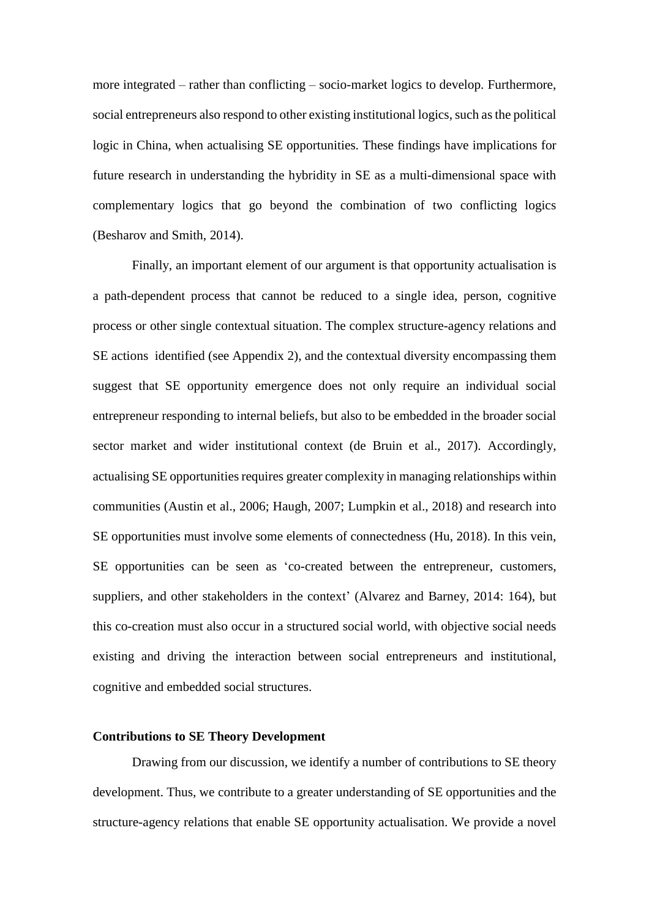more integrated – rather than conflicting – socio-market logics to develop. Furthermore, social entrepreneurs also respond to other existing institutional logics, such as the political logic in China, when actualising SE opportunities. These findings have implications for future research in understanding the hybridity in SE as a multi-dimensional space with complementary logics that go beyond the combination of two conflicting logics [\(Besharov](#page-39-20) and Smith, 2014).

Finally, an important element of our argument is that opportunity actualisation is a path-dependent process that cannot be reduced to a single idea, person, cognitive process or other single contextual situation. The complex structure-agency relations and SE actions identified (see Appendix 2), and the contextual diversity encompassing them suggest that SE opportunity emergence does not only require an individual social entrepreneur responding to internal beliefs, but also to be embedded in the broader social sector market and wider institutional context (de [Bruin](#page-39-21) et al., 2017). Accordingly, actualising SE opportunities requires greater complexity in managing relationships within communities [\(Austin](#page-38-0) et al., 2006; [Haugh,](#page-40-11) 2007; [Lumpkin](#page-40-12) et al., 2018) and research into SE opportunities must involve some elements of connectedness (Hu, [2018\)](#page-40-9). In this vein, SE opportunities can be seen as 'co-created between the entrepreneur, customers, suppliers, and other stakeholders in the context' [\(Alvarez](#page-38-8) and Barney, 2014: 164), but this co-creation must also occur in a structured social world, with objective social needs existing and driving the interaction between social entrepreneurs and institutional, cognitive and embedded social structures.

#### **Contributions to SE Theory Development**

Drawing from our discussion, we identify a number of contributions to SE theory development. Thus, we contribute to a greater understanding of SE opportunities and the structure-agency relations that enable SE opportunity actualisation. We provide a novel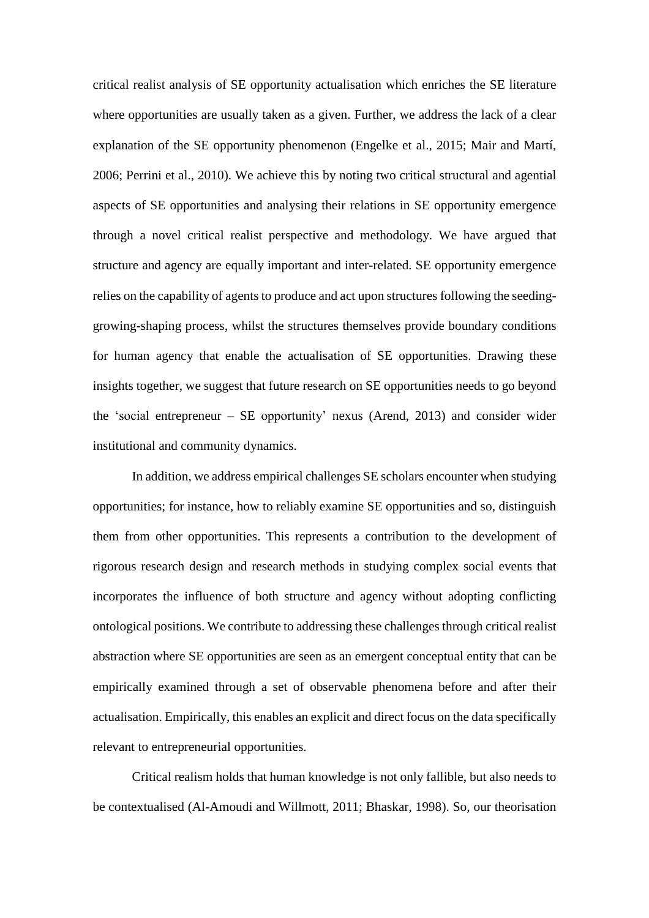critical realist analysis of SE opportunity actualisation which enriches the SE literature where opportunities are usually taken as a given. Further, we address the lack of a clear explanation of the SE opportunity phenomenon [\(Engelke](#page-40-3) et al., 2015; Mair and [Martí,](#page-40-19) [2006;](#page-40-19) [Perrini](#page-41-3) et al., 2010). We achieve this by noting two critical structural and agential aspects of SE opportunities and analysing their relations in SE opportunity emergence through a novel critical realist perspective and methodology. We have argued that structure and agency are equally important and inter-related. SE opportunity emergence relies on the capability of agents to produce and act upon structures following the seedinggrowing-shaping process, whilst the structures themselves provide boundary conditions for human agency that enable the actualisation of SE opportunities. Drawing these insights together, we suggest that future research on SE opportunities needs to go beyond the 'social entrepreneur – SE opportunity' nexus [\(Arend,](#page-38-9) 2013) and consider wider institutional and community dynamics.

In addition, we address empirical challenges SE scholars encounter when studying opportunities; for instance, how to reliably examine SE opportunities and so, distinguish them from other opportunities. This represents a contribution to the development of rigorous research design and research methods in studying complex social events that incorporates the influence of both structure and agency without adopting conflicting ontological positions. We contribute to addressing these challenges through critical realist abstraction where SE opportunities are seen as an emergent conceptual entity that can be empirically examined through a set of observable phenomena before and after their actualisation. Empirically, this enables an explicit and direct focus on the data specifically relevant to entrepreneurial opportunities.

Critical realism holds that human knowledge is not only fallible, but also needs to be contextualised [\(Al-Amoudi](#page-38-10) and Willmott, 2011; [Bhaskar,](#page-39-18) 1998). So, our theorisation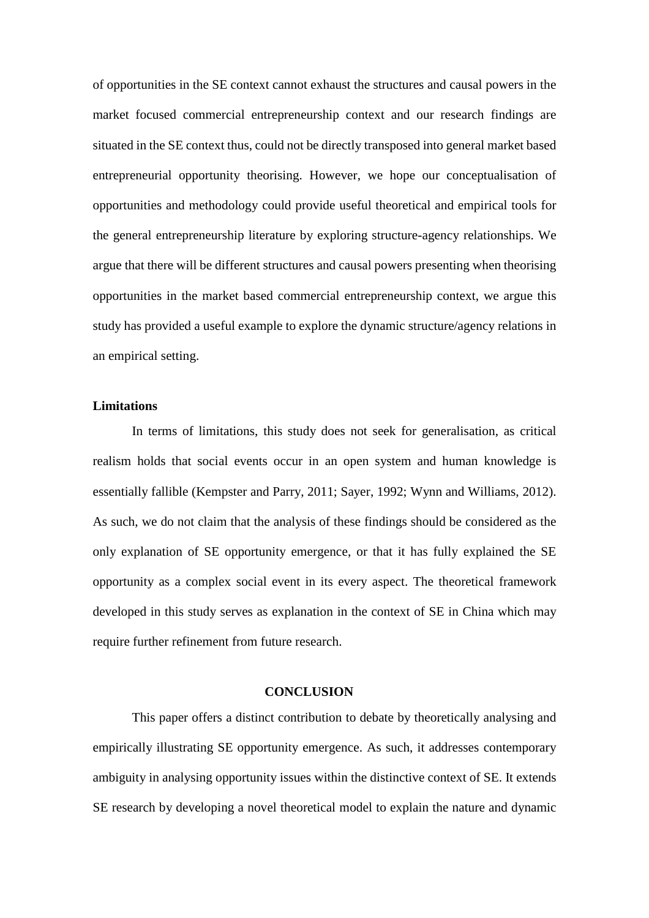of opportunities in the SE context cannot exhaust the structures and causal powers in the market focused commercial entrepreneurship context and our research findings are situated in the SE context thus, could not be directly transposed into general market based entrepreneurial opportunity theorising. However, we hope our conceptualisation of opportunities and methodology could provide useful theoretical and empirical tools for the general entrepreneurship literature by exploring structure-agency relationships. We argue that there will be different structures and causal powers presenting when theorising opportunities in the market based commercial entrepreneurship context, we argue this study has provided a useful example to explore the dynamic structure/agency relations in an empirical setting.

#### **Limitations**

In terms of limitations, this study does not seek for generalisation, as critical realism holds that social events occur in an open system and human knowledge is essentially fallible [\(Kempster](#page-40-13) and Parry, 2011; [Sayer,](#page-42-11) 1992; Wynn and [Williams,](#page-42-18) 2012). As such, we do not claim that the analysis of these findings should be considered as the only explanation of SE opportunity emergence, or that it has fully explained the SE opportunity as a complex social event in its every aspect. The theoretical framework developed in this study serves as explanation in the context of SE in China which may require further refinement from future research.

#### **CONCLUSION**

This paper offers a distinct contribution to debate by theoretically analysing and empirically illustrating SE opportunity emergence. As such, it addresses contemporary ambiguity in analysing opportunity issues within the distinctive context of SE. It extends SE research by developing a novel theoretical model to explain the nature and dynamic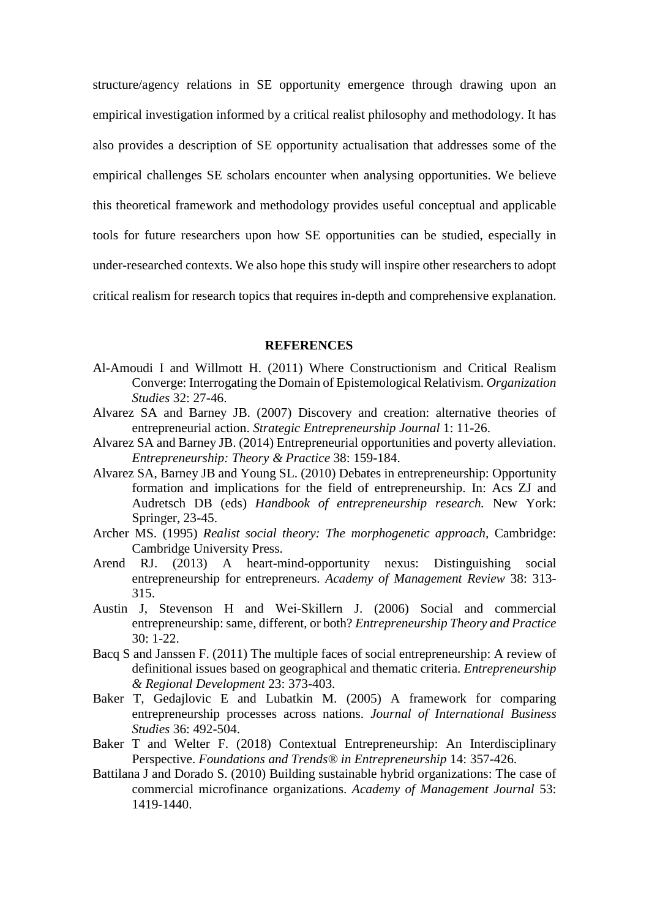structure/agency relations in SE opportunity emergence through drawing upon an empirical investigation informed by a critical realist philosophy and methodology. It has also provides a description of SE opportunity actualisation that addresses some of the empirical challenges SE scholars encounter when analysing opportunities. We believe this theoretical framework and methodology provides useful conceptual and applicable tools for future researchers upon how SE opportunities can be studied, especially in under-researched contexts. We also hope this study will inspire other researchers to adopt critical realism for research topics that requires in-depth and comprehensive explanation.

#### **REFERENCES**

- <span id="page-38-10"></span>Al-Amoudi I and Willmott H. (2011) Where Constructionism and Critical Realism Converge: Interrogating the Domain of Epistemological Relativism. *Organization Studies* 32: 27-46.
- <span id="page-38-1"></span>Alvarez SA and Barney JB. (2007) Discovery and creation: alternative theories of entrepreneurial action. *Strategic Entrepreneurship Journal* 1: 11-26.
- <span id="page-38-8"></span>Alvarez SA and Barney JB. (2014) Entrepreneurial opportunities and poverty alleviation. *Entrepreneurship: Theory & Practice* 38: 159-184.
- <span id="page-38-2"></span>Alvarez SA, Barney JB and Young SL. (2010) Debates in entrepreneurship: Opportunity formation and implications for the field of entrepreneurship. In: Acs ZJ and Audretsch DB (eds) *Handbook of entrepreneurship research.* New York: Springer, 23-45.
- <span id="page-38-3"></span>Archer MS. (1995) *Realist social theory: The morphogenetic approach,* Cambridge: Cambridge University Press.
- <span id="page-38-9"></span>Arend RJ. (2013) A heart-mind-opportunity nexus: Distinguishing social entrepreneurship for entrepreneurs. *Academy of Management Review* 38: 313- 315.
- <span id="page-38-0"></span>Austin J, Stevenson H and Wei‐Skillern J. (2006) Social and commercial entrepreneurship: same, different, or both? *Entrepreneurship Theory and Practice* 30: 1-22.
- <span id="page-38-5"></span>Bacq S and Janssen F. (2011) The multiple faces of social entrepreneurship: A review of definitional issues based on geographical and thematic criteria. *Entrepreneurship & Regional Development* 23: 373-403.
- <span id="page-38-6"></span>Baker T, Gedajlovic E and Lubatkin M. (2005) A framework for comparing entrepreneurship processes across nations. *Journal of International Business Studies* 36: 492-504.
- <span id="page-38-4"></span>Baker T and Welter F. (2018) Contextual Entrepreneurship: An Interdisciplinary Perspective. *Foundations and Trends® in Entrepreneurship* 14: 357-426.
- <span id="page-38-7"></span>Battilana J and Dorado S. (2010) Building sustainable hybrid organizations: The case of commercial microfinance organizations. *Academy of Management Journal* 53: 1419-1440.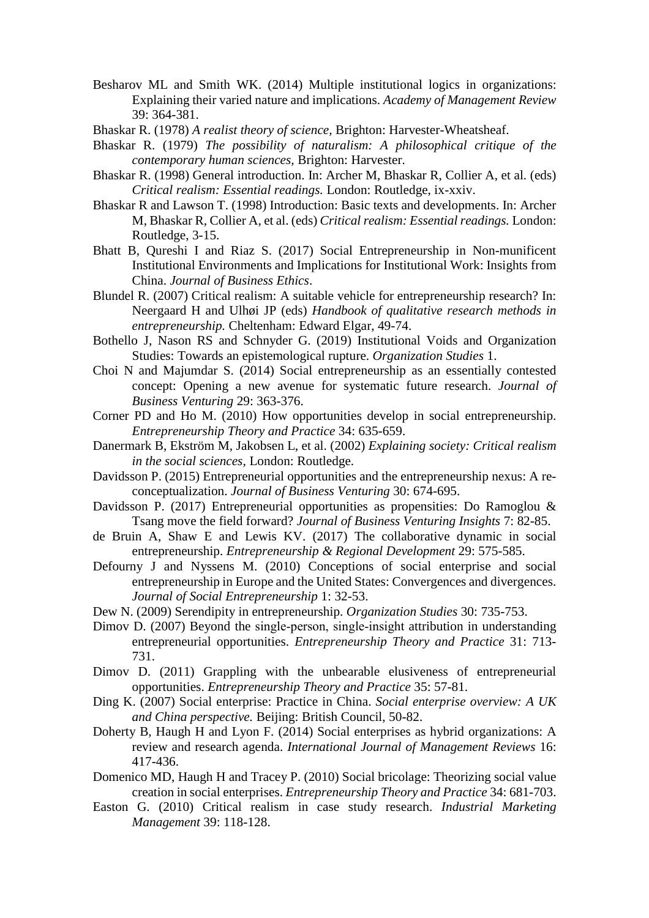- <span id="page-39-20"></span>Besharov ML and Smith WK. (2014) Multiple institutional logics in organizations: Explaining their varied nature and implications. *Academy of Management Review* 39: 364-381.
- <span id="page-39-7"></span>Bhaskar R. (1978) *A realist theory of science,* Brighton: Harvester-Wheatsheaf.
- <span id="page-39-8"></span>Bhaskar R. (1979) *The possibility of naturalism: A philosophical critique of the contemporary human sciences,* Brighton: Harvester.
- <span id="page-39-18"></span>Bhaskar R. (1998) General introduction. In: Archer M, Bhaskar R, Collier A, et al. (eds) *Critical realism: Essential readings.* London: Routledge, ix-xxiv.
- <span id="page-39-5"></span>Bhaskar R and Lawson T. (1998) Introduction: Basic texts and developments. In: Archer M, Bhaskar R, Collier A, et al. (eds) *Critical realism: Essential readings.* London: Routledge, 3-15.
- <span id="page-39-15"></span>Bhatt B, Qureshi I and Riaz S. (2017) Social Entrepreneurship in Non-munificent Institutional Environments and Implications for Institutional Work: Insights from China. *Journal of Business Ethics*.
- <span id="page-39-9"></span>Blundel R. (2007) Critical realism: A suitable vehicle for entrepreneurship research? In: Neergaard H and Ulhøi JP (eds) *Handbook of qualitative research methods in entrepreneurship.* Cheltenham: Edward Elgar, 49-74.
- <span id="page-39-19"></span>Bothello J, Nason RS and Schnyder G. (2019) Institutional Voids and Organization Studies: Towards an epistemological rupture. *Organization Studies* 1.
- <span id="page-39-0"></span>Choi N and Majumdar S. (2014) Social entrepreneurship as an essentially contested concept: Opening a new avenue for systematic future research. *Journal of Business Venturing* 29: 363-376.
- <span id="page-39-10"></span>Corner PD and Ho M. (2010) How opportunities develop in social entrepreneurship. *Entrepreneurship Theory and Practice* 34: 635-659.
- <span id="page-39-4"></span>Danermark B, Ekström M, Jakobsen L, et al. (2002) *Explaining society: Critical realism in the social sciences,* London: Routledge.
- <span id="page-39-16"></span>Davidsson P. (2015) Entrepreneurial opportunities and the entrepreneurship nexus: A reconceptualization. *Journal of Business Venturing* 30: 674-695.
- <span id="page-39-3"></span>Davidsson P. (2017) Entrepreneurial opportunities as propensities: Do Ramoglou & Tsang move the field forward? *Journal of Business Venturing Insights* 7: 82-85.
- <span id="page-39-21"></span>de Bruin A, Shaw E and Lewis KV. (2017) The collaborative dynamic in social entrepreneurship. *Entrepreneurship & Regional Development* 29: 575-585.
- <span id="page-39-14"></span>Defourny J and Nyssens M. (2010) Conceptions of social enterprise and social entrepreneurship in Europe and the United States: Convergences and divergences. *Journal of Social Entrepreneurship* 1: 32-53.
- <span id="page-39-13"></span>Dew N. (2009) Serendipity in entrepreneurship. *Organization Studies* 30: 735-753.
- <span id="page-39-17"></span>Dimov D. (2007) Beyond the single-person, single-insight attribution in understanding entrepreneurial opportunities. *Entrepreneurship Theory and Practice* 31: 713- 731.
- <span id="page-39-2"></span>Dimov D. (2011) Grappling with the unbearable elusiveness of entrepreneurial opportunities. *Entrepreneurship Theory and Practice* 35: 57-81.
- <span id="page-39-12"></span>Ding K. (2007) Social enterprise: Practice in China. *Social enterprise overview: A UK and China perspective.* Beijing: British Council, 50-82.
- <span id="page-39-11"></span>Doherty B, Haugh H and Lyon F. (2014) Social enterprises as hybrid organizations: A review and research agenda. *International Journal of Management Reviews* 16: 417-436.
- <span id="page-39-1"></span>Domenico MD, Haugh H and Tracey P. (2010) Social bricolage: Theorizing social value creation in social enterprises. *Entrepreneurship Theory and Practice* 34: 681-703.
- <span id="page-39-6"></span>Easton G. (2010) Critical realism in case study research. *Industrial Marketing Management* 39: 118-128.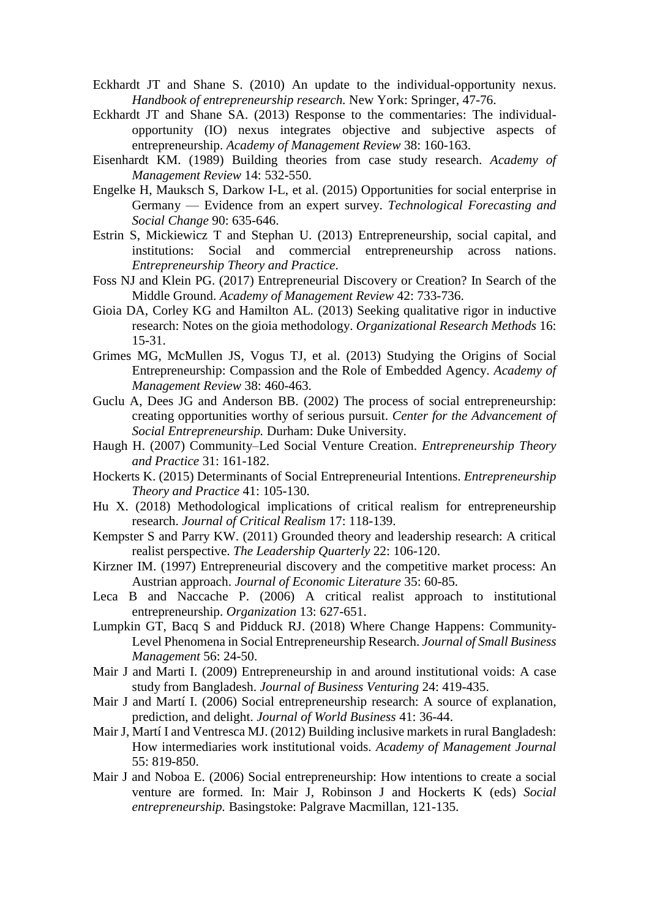- <span id="page-40-5"></span>Eckhardt JT and Shane S. (2010) An update to the individual-opportunity nexus. *Handbook of entrepreneurship research.* New York: Springer, 47-76.
- <span id="page-40-7"></span>Eckhardt JT and Shane SA. (2013) Response to the commentaries: The individualopportunity (IO) nexus integrates objective and subjective aspects of entrepreneurship. *Academy of Management Review* 38: 160-163.
- <span id="page-40-1"></span>Eisenhardt KM. (1989) Building theories from case study research. *Academy of Management Review* 14: 532-550.
- <span id="page-40-3"></span>Engelke H, Mauksch S, Darkow I-L, et al. (2015) Opportunities for social enterprise in Germany — Evidence from an expert survey. *Technological Forecasting and Social Change* 90: 635-646.
- <span id="page-40-10"></span>Estrin S, Mickiewicz T and Stephan U. (2013) Entrepreneurship, social capital, and institutions: Social and commercial entrepreneurship across nations. *Entrepreneurship Theory and Practice*.
- <span id="page-40-4"></span>Foss NJ and Klein PG. (2017) Entrepreneurial Discovery or Creation? In Search of the Middle Ground. *Academy of Management Review* 42: 733-736.
- <span id="page-40-14"></span>Gioia DA, Corley KG and Hamilton AL. (2013) Seeking qualitative rigor in inductive research: Notes on the gioia methodology. *Organizational Research Methods* 16: 15-31.
- <span id="page-40-16"></span>Grimes MG, McMullen JS, Vogus TJ, et al. (2013) Studying the Origins of Social Entrepreneurship: Compassion and the Role of Embedded Agency. *Academy of Management Review* 38: 460-463.
- <span id="page-40-2"></span>Guclu A, Dees JG and Anderson BB. (2002) The process of social entrepreneurship: creating opportunities worthy of serious pursuit. *Center for the Advancement of Social Entrepreneurship.* Durham: Duke University.
- <span id="page-40-11"></span>Haugh H. (2007) Community–Led Social Venture Creation. *Entrepreneurship Theory and Practice* 31: 161-182.
- <span id="page-40-0"></span>Hockerts K. (2015) Determinants of Social Entrepreneurial Intentions. *Entrepreneurship Theory and Practice* 41: 105-130.
- <span id="page-40-9"></span>Hu X. (2018) Methodological implications of critical realism for entrepreneurship research. *Journal of Critical Realism* 17: 118-139.
- <span id="page-40-13"></span>Kempster S and Parry KW. (2011) Grounded theory and leadership research: A critical realist perspective. *The Leadership Quarterly* 22: 106-120.
- <span id="page-40-6"></span>Kirzner IM. (1997) Entrepreneurial discovery and the competitive market process: An Austrian approach. *Journal of Economic Literature* 35: 60-85.
- <span id="page-40-8"></span>Leca B and Naccache P. (2006) A critical realist approach to institutional entrepreneurship. *Organization* 13: 627-651.
- <span id="page-40-12"></span>Lumpkin GT, Bacq S and Pidduck RJ. (2018) Where Change Happens: Community-Level Phenomena in Social Entrepreneurship Research. *Journal of Small Business Management* 56: 24-50.
- <span id="page-40-17"></span>Mair J and Marti I. (2009) Entrepreneurship in and around institutional voids: A case study from Bangladesh. *Journal of Business Venturing* 24: 419-435.
- <span id="page-40-19"></span>Mair J and Martí I. (2006) Social entrepreneurship research: A source of explanation, prediction, and delight. *Journal of World Business* 41: 36-44.
- <span id="page-40-18"></span>Mair J, Martí I and Ventresca MJ. (2012) Building inclusive markets in rural Bangladesh: How intermediaries work institutional voids. *Academy of Management Journal* 55: 819-850.
- <span id="page-40-15"></span>Mair J and Noboa E. (2006) Social entrepreneurship: How intentions to create a social venture are formed. In: Mair J, Robinson J and Hockerts K (eds) *Social entrepreneurship.* Basingstoke: Palgrave Macmillan, 121-135.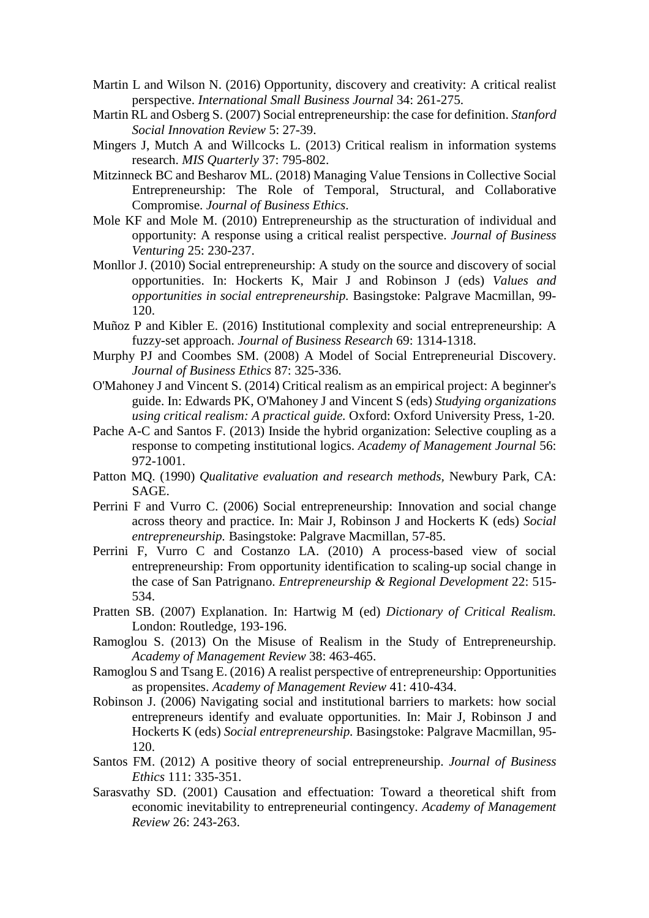- <span id="page-41-13"></span>Martin L and Wilson N. (2016) Opportunity, discovery and creativity: A critical realist perspective. *International Small Business Journal* 34: 261-275.
- <span id="page-41-4"></span>Martin RL and Osberg S. (2007) Social entrepreneurship: the case for definition. *Stanford Social Innovation Review* 5: 27-39.
- <span id="page-41-10"></span>Mingers J, Mutch A and Willcocks L. (2013) Critical realism in information systems research. *MIS Quarterly* 37: 795-802.
- <span id="page-41-18"></span>Mitzinneck BC and Besharov ML. (2018) Managing Value Tensions in Collective Social Entrepreneurship: The Role of Temporal, Structural, and Collaborative Compromise. *Journal of Business Ethics*.
- <span id="page-41-9"></span>Mole KF and Mole M. (2010) Entrepreneurship as the structuration of individual and opportunity: A response using a critical realist perspective. *Journal of Business Venturing* 25: 230-237.
- <span id="page-41-1"></span>Monllor J. (2010) Social entrepreneurship: A study on the source and discovery of social opportunities. In: Hockerts K, Mair J and Robinson J (eds) *Values and opportunities in social entrepreneurship.* Basingstoke: Palgrave Macmillan, 99- 120.
- <span id="page-41-2"></span>Muñoz P and Kibler E. (2016) Institutional complexity and social entrepreneurship: A fuzzy-set approach. *Journal of Business Research* 69: 1314-1318.
- <span id="page-41-0"></span>Murphy PJ and Coombes SM. (2008) A Model of Social Entrepreneurial Discovery. *Journal of Business Ethics* 87: 325-336.
- <span id="page-41-11"></span>O'Mahoney J and Vincent S. (2014) Critical realism as an empirical project: A beginner's guide. In: Edwards PK, O'Mahoney J and Vincent S (eds) *Studying organizations using critical realism: A practical guide.* Oxford: Oxford University Press, 1-20.
- <span id="page-41-17"></span>Pache A-C and Santos F. (2013) Inside the hybrid organization: Selective coupling as a response to competing institutional logics. *Academy of Management Journal* 56: 972-1001.
- <span id="page-41-15"></span>Patton MQ. (1990) *Qualitative evaluation and research methods,* Newbury Park, CA: SAGE.
- <span id="page-41-8"></span>Perrini F and Vurro C. (2006) Social entrepreneurship: Innovation and social change across theory and practice. In: Mair J, Robinson J and Hockerts K (eds) *Social entrepreneurship.* Basingstoke: Palgrave Macmillan, 57-85.
- <span id="page-41-3"></span>Perrini F, Vurro C and Costanzo LA. (2010) A process-based view of social entrepreneurship: From opportunity identification to scaling-up social change in the case of San Patrignano. *Entrepreneurship & Regional Development* 22: 515- 534.
- <span id="page-41-14"></span>Pratten SB. (2007) Explanation. In: Hartwig M (ed) *Dictionary of Critical Realism.* London: Routledge, 193-196.
- <span id="page-41-7"></span>Ramoglou S. (2013) On the Misuse of Realism in the Study of Entrepreneurship. *Academy of Management Review* 38: 463-465.
- <span id="page-41-12"></span>Ramoglou S and Tsang E. (2016) A realist perspective of entrepreneurship: Opportunities as propensites. *Academy of Management Review* 41: 410-434.
- <span id="page-41-6"></span>Robinson J. (2006) Navigating social and institutional barriers to markets: how social entrepreneurs identify and evaluate opportunities. In: Mair J, Robinson J and Hockerts K (eds) *Social entrepreneurship.* Basingstoke: Palgrave Macmillan, 95- 120.
- <span id="page-41-5"></span>Santos FM. (2012) A positive theory of social entrepreneurship. *Journal of Business Ethics* 111: 335-351.
- <span id="page-41-16"></span>Sarasvathy SD. (2001) Causation and effectuation: Toward a theoretical shift from economic inevitability to entrepreneurial contingency. *Academy of Management Review* 26: 243-263.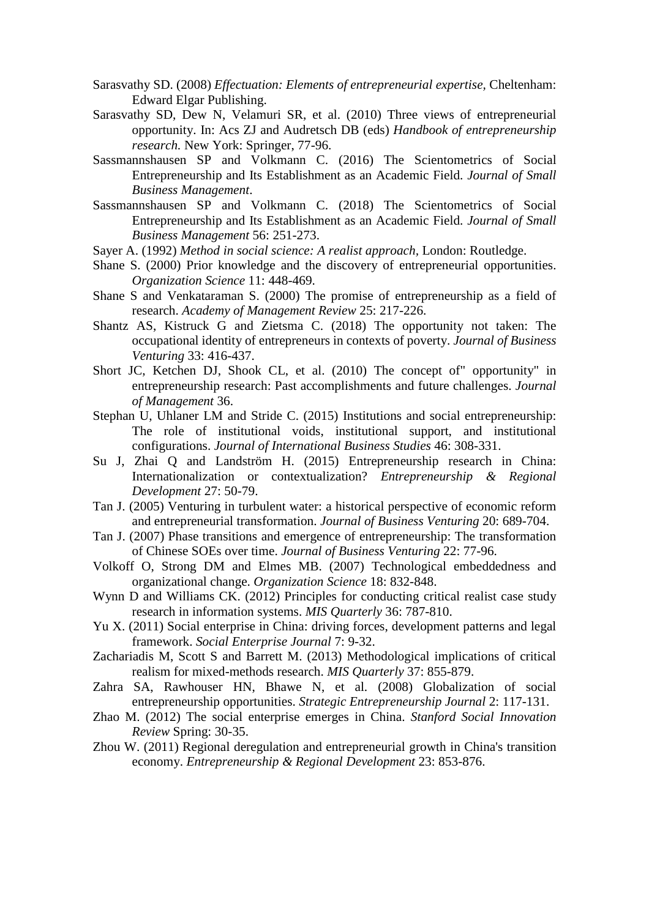- <span id="page-42-9"></span>Sarasvathy SD. (2008) *Effectuation: Elements of entrepreneurial expertise,* Cheltenham: Edward Elgar Publishing.
- <span id="page-42-7"></span>Sarasvathy SD, Dew N, Velamuri SR, et al. (2010) Three views of entrepreneurial opportunity. In: Acs ZJ and Audretsch DB (eds) *Handbook of entrepreneurship research.* New York: Springer, 77-96.
- <span id="page-42-0"></span>Sassmannshausen SP and Volkmann C. (2016) The Scientometrics of Social Entrepreneurship and Its Establishment as an Academic Field. *Journal of Small Business Management*.
- <span id="page-42-3"></span>Sassmannshausen SP and Volkmann C. (2018) The Scientometrics of Social Entrepreneurship and Its Establishment as an Academic Field. *Journal of Small Business Management* 56: 251-273.
- <span id="page-42-11"></span>Sayer A. (1992) *Method in social science: A realist approach,* London: Routledge.
- <span id="page-42-6"></span>Shane S. (2000) Prior knowledge and the discovery of entrepreneurial opportunities. *Organization Science* 11: 448-469.
- <span id="page-42-5"></span>Shane S and Venkataraman S. (2000) The promise of entrepreneurship as a field of research. *Academy of Management Review* 25: 217-226.
- <span id="page-42-13"></span>Shantz AS, Kistruck G and Zietsma C. (2018) The opportunity not taken: The occupational identity of entrepreneurs in contexts of poverty. *Journal of Business Venturing* 33: 416-437.
- <span id="page-42-8"></span>Short JC, Ketchen DJ, Shook CL, et al. (2010) The concept of" opportunity" in entrepreneurship research: Past accomplishments and future challenges. *Journal of Management* 36.
- <span id="page-42-12"></span>Stephan U, Uhlaner LM and Stride C. (2015) Institutions and social entrepreneurship: The role of institutional voids, institutional support, and institutional configurations. *Journal of International Business Studies* 46: 308-331.
- <span id="page-42-16"></span>Su J, Zhai Q and Landström H. (2015) Entrepreneurship research in China: Internationalization or contextualization? *Entrepreneurship & Regional Development* 27: 50-79.
- <span id="page-42-15"></span>Tan J. (2005) Venturing in turbulent water: a historical perspective of economic reform and entrepreneurial transformation. *Journal of Business Venturing* 20: 689-704.
- <span id="page-42-14"></span>Tan J. (2007) Phase transitions and emergence of entrepreneurship: The transformation of Chinese SOEs over time. *Journal of Business Venturing* 22: 77-96.
- <span id="page-42-19"></span>Volkoff O, Strong DM and Elmes MB. (2007) Technological embeddedness and organizational change. *Organization Science* 18: 832-848.
- <span id="page-42-18"></span>Wynn D and Williams CK. (2012) Principles for conducting critical realist case study research in information systems. *MIS Quarterly* 36: 787-810.
- <span id="page-42-1"></span>Yu X. (2011) Social enterprise in China: driving forces, development patterns and legal framework. *Social Enterprise Journal* 7: 9-32.
- <span id="page-42-10"></span>Zachariadis M, Scott S and Barrett M. (2013) Methodological implications of critical realism for mixed-methods research. *MIS Quarterly* 37: 855-879.
- <span id="page-42-4"></span>Zahra SA, Rawhouser HN, Bhawe N, et al. (2008) Globalization of social entrepreneurship opportunities. *Strategic Entrepreneurship Journal* 2: 117-131.
- <span id="page-42-2"></span>Zhao M. (2012) The social enterprise emerges in China. *Stanford Social Innovation Review* Spring: 30-35.
- <span id="page-42-17"></span>Zhou W. (2011) Regional deregulation and entrepreneurial growth in China's transition economy. *Entrepreneurship & Regional Development* 23: 853-876.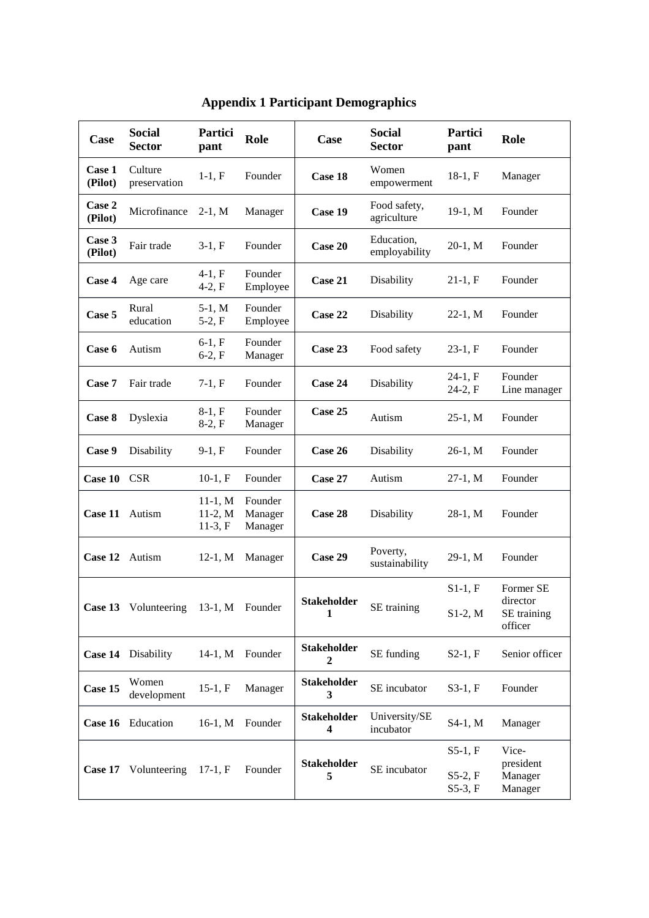| Case              | <b>Social</b><br><b>Sector</b>       | <b>Partici</b><br>pant              | Role                          | Case                          | <b>Social</b><br><b>Sector</b> | <b>Partici</b><br>pant | Role                                     |
|-------------------|--------------------------------------|-------------------------------------|-------------------------------|-------------------------------|--------------------------------|------------------------|------------------------------------------|
| Case 1<br>(Pilot) | Culture<br>preservation              | $1-1, F$                            | Founder                       | Case 18                       | Women<br>empowerment           | $18-1, F$              | Manager                                  |
| Case 2<br>(Pilot) | Microfinance                         | $2-1, M$                            | Manager                       | Case 19                       | Food safety,<br>agriculture    | 19-1, M                | Founder                                  |
| Case 3<br>(Pilot) | Fair trade                           | $3-1, F$                            | Founder                       | Case 20                       | Education,<br>employability    | $20-1, M$              | Founder                                  |
| Case 4            | Age care                             | $4-1, F$<br>$4-2, F$                | Founder<br>Employee           | Case 21                       | Disability                     | $21-1, F$              | Founder                                  |
| Case 5            | Rural<br>education                   | $5-1, M$<br>$5-2, F$                | Founder<br>Employee           | Case 22                       | Disability                     | $22-1, M$              | Founder                                  |
| Case 6            | Autism                               | $6-1, F$<br>$6-2, F$                | Founder<br>Manager            | Case 23                       | Food safety                    | $23-1, F$              | Founder                                  |
| Case 7            | Fair trade                           | $7-1, F$                            | Founder                       | Case 24                       | Disability                     | $24-1, F$<br>$24-2, F$ | Founder<br>Line manager                  |
| Case 8            | Dyslexia                             | $8-1, F$<br>$8-2, F$                | Founder<br>Manager            | Case 25                       | Autism                         | $25-1, M$              | Founder                                  |
| Case 9            | Disability                           | $9-1, F$                            | Founder                       | Case 26                       | Disability                     | $26-1, M$              | Founder                                  |
| Case 10 CSR       |                                      | $10-1, F$                           | Founder                       | Case 27                       | Autism                         | $27-1, M$              | Founder                                  |
| Case 11           | Autism                               | $11-1, M$<br>$11-2, M$<br>$11-3, F$ | Founder<br>Manager<br>Manager | Case 28                       | Disability                     | $28-1, M$              | Founder                                  |
| Case 12           | Autism                               | $12-1, M$                           | Manager                       | Case 29                       | Poverty,<br>sustainability     | 29-1, M                | Founder                                  |
|                   |                                      |                                     |                               | <b>Stakeholder</b><br>1       | SE training                    | $S1-1, F$              | Former SE                                |
|                   | Case 13 Volunteering 13-1, M Founder |                                     |                               |                               |                                | $S1-2$ , M             | director<br>SE training<br>officer       |
|                   | Case 14 Disability                   | $14-1, M$                           | Founder                       | Stakeholder<br>$\overline{2}$ | SE funding                     | $S2-1, F$              | Senior officer                           |
| Case 15           | Women<br>development                 | $15-1, F$                           | Manager                       | <b>Stakeholder</b><br>3       | SE incubator                   | $S3-1, F$              | Founder                                  |
|                   | Case 16 Education                    | $16-1, M$                           | Founder                       | <b>Stakeholder</b><br>4       | University/SE<br>incubator     | S4-1, M                | Manager                                  |
|                   |                                      |                                     |                               | <b>Stakeholder</b><br>5       | SE incubator                   | $S5-1, F$              | Vice-<br>president<br>Manager<br>Manager |
| Case 17           | Volunteering                         | $17-1, F$                           | Founder                       |                               |                                | $S5-2, F$<br>$S5-3, F$ |                                          |

## **Appendix 1 Participant Demographics**